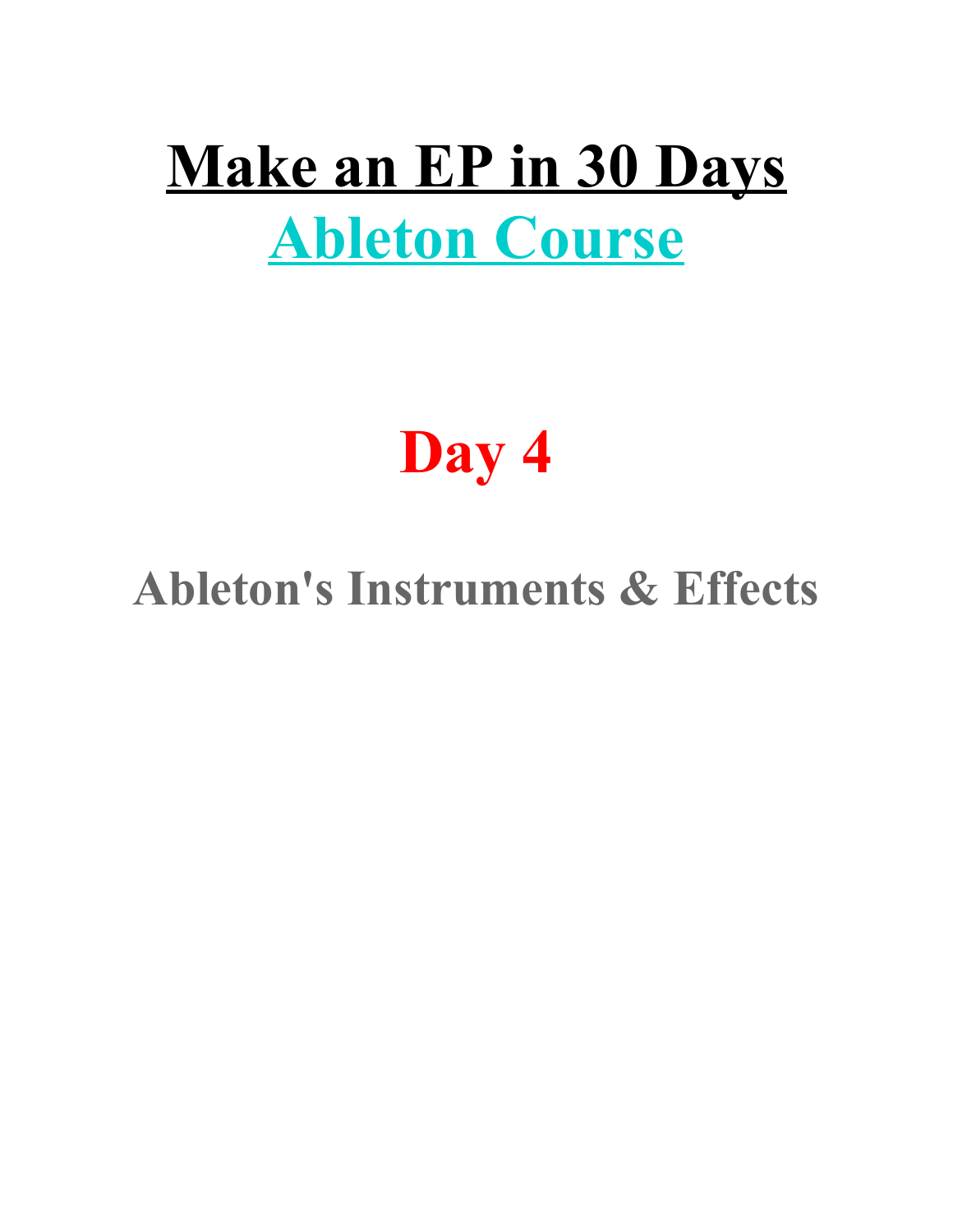# **Make an EP in 30 Days Ableton Course**

# **Day 4**

## **Ableton's Instruments & Effects**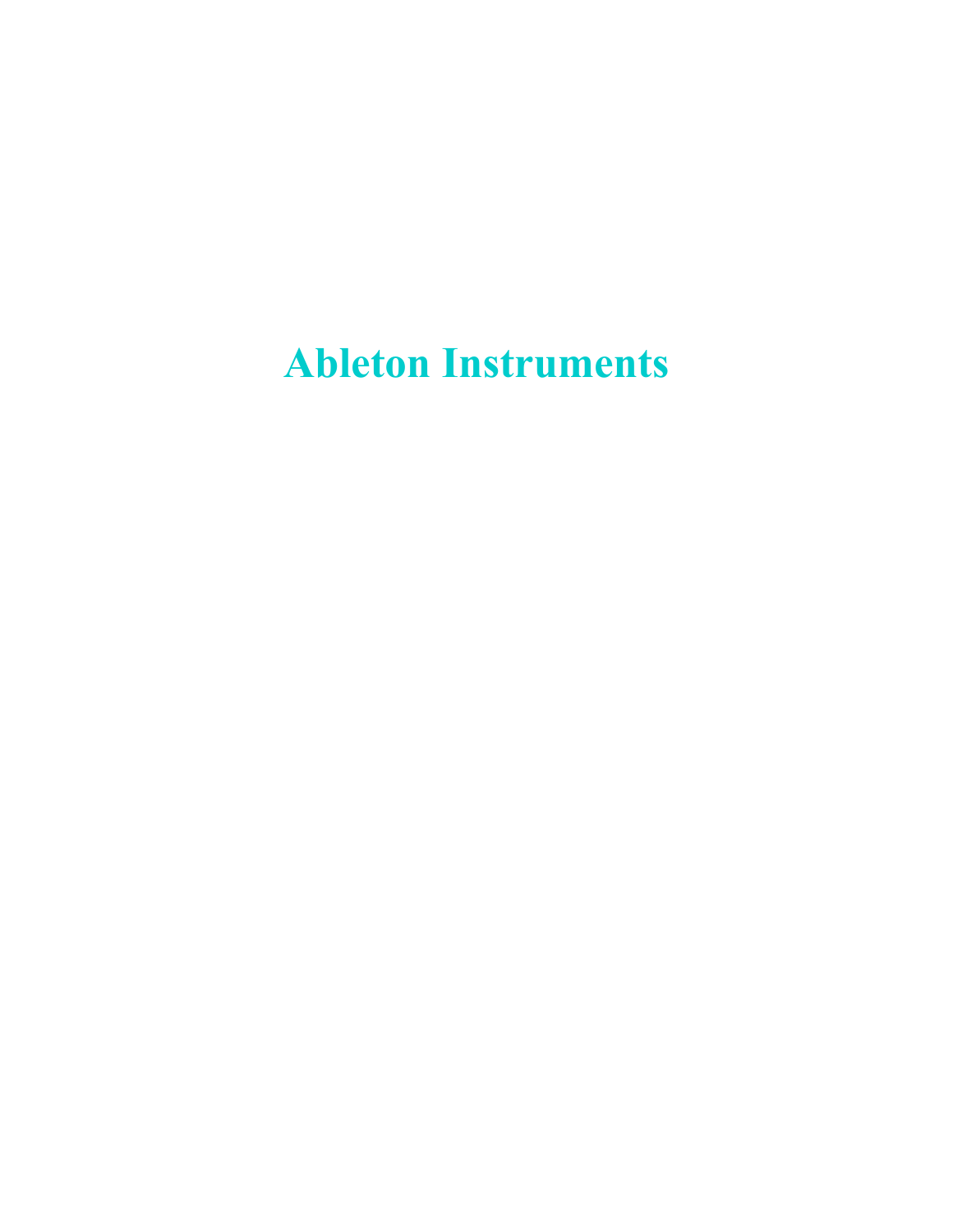**Ableton Instruments**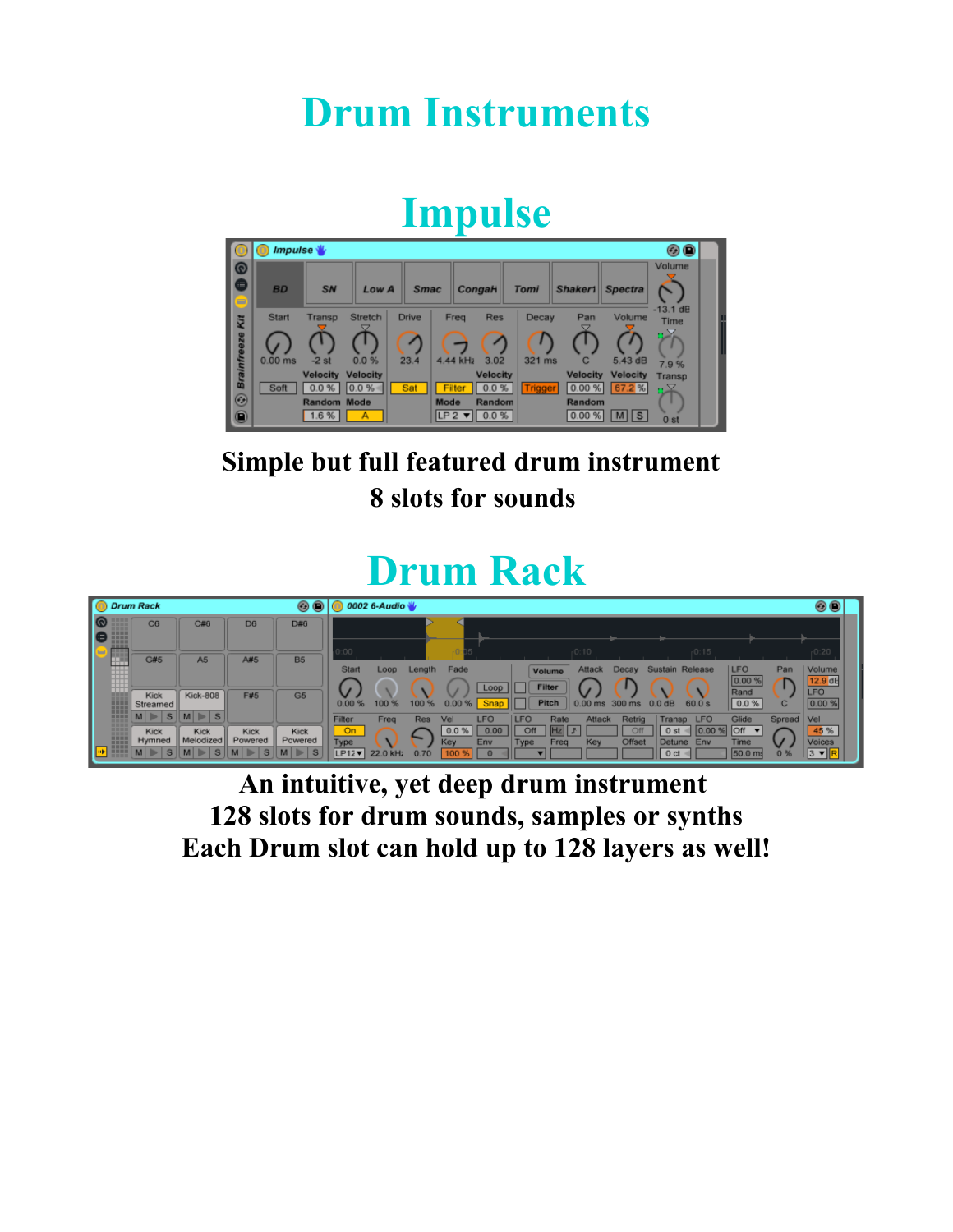#### **Drum Instruments**

#### **Impulse**



#### **Simple but full featured drum instrument 8 slots for sounds**

#### **Drum Rack**

| <b>O</b> Drum Rack      |                       |                               |                 | $\circ\bullet\bullet$ | 0002 6-Audio                 |                     |                                                                     |                                           |                                          |                                                                                    |                                              |              | $\circ\bullet$                                  |
|-------------------------|-----------------------|-------------------------------|-----------------|-----------------------|------------------------------|---------------------|---------------------------------------------------------------------|-------------------------------------------|------------------------------------------|------------------------------------------------------------------------------------|----------------------------------------------|--------------|-------------------------------------------------|
| H<br>∎⊜<br><b>THEFT</b> | C6                    | C#6                           | D <sub>6</sub>  | D#6                   | 0:00                         |                     |                                                                     |                                           | $-0.10$                                  | $-0:15$                                                                            |                                              |              | $-0.20$                                         |
| H                       | G#5                   | A <sub>5</sub>                | A#5             | <b>B5</b>             | <b>Start</b>                 | Loop<br>Length      | Fade<br>Loop                                                        | Volume<br><b>Filter</b>                   | Attack<br>Decay                          | Sustain Release                                                                    | <b>LFO</b><br>10.00                          | Pan          | <b>Volume</b><br>12.9 dB                        |
| m<br>---                | Kick<br>Streamed<br>S | <b>Kick-808</b><br>$M \geq S$ | <b>F#5</b>      | G <sub>5</sub>        | 0.00%                        | 100 %<br>100        | Snap<br>0.00'                                                       | <b>Pitch</b>                              | 0.00 ms 300 ms                           | 60.0 s<br>$0.0$ dB                                                                 | Rand<br>0.0 %                                | с            | <b>LFO</b><br>0.00 %                            |
| ■■■■<br><b>HERE</b>     | Kick<br>Hymned        | Kick<br>Melodized             | Kick<br>Powered | Kick<br>Powered       | Filter<br>On<br>Type<br>LP12 | Freq<br>Res<br>0.70 | <b>LFO</b><br>Vel<br>0.00<br>$0.0 \%$<br>Env<br>Key<br>$\mathbf{0}$ | <b>LFO</b><br>Rate<br>Off<br>Type<br>Freq | Attack<br>Retrig<br>Off<br>Offset<br>Key | <b>LFO</b><br>Transp<br>0 <sub>st</sub><br>10J<br>Detune<br>Env<br>0 <sub>ct</sub> | Glide<br><b>Off</b><br><b>Time</b><br>50.0 m | Spread<br>0% | $ $ Vel<br>45 %<br>Voices<br>$\ 3 \mathbf{v}\ $ |

**An intuitive, yet deep drum instrument 128 slots for drum sounds, samples or synths Each Drum slot can hold up to 128 layers as well!**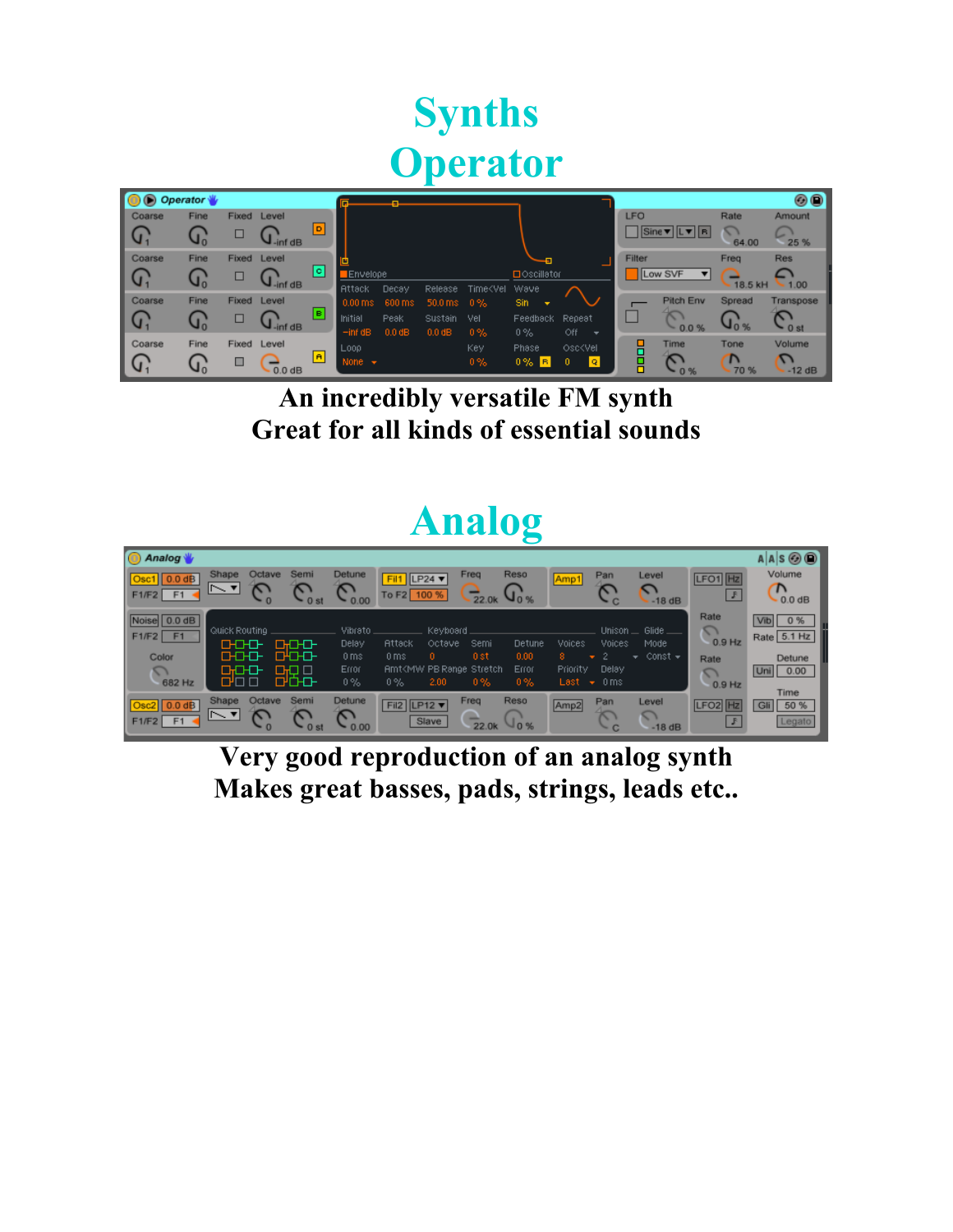## **Synths Operator**

| O Operator              |             |            |                                |     |                           |                  |                          |                                                                                                                          |                             |                                            |            |                                                  |              | 00                |
|-------------------------|-------------|------------|--------------------------------|-----|---------------------------|------------------|--------------------------|--------------------------------------------------------------------------------------------------------------------------|-----------------------------|--------------------------------------------|------------|--------------------------------------------------|--------------|-------------------|
| Coarse                  | <b>Fine</b> | Fixed      | Level                          |     |                           |                  |                          |                                                                                                                          |                             |                                            | <b>LFO</b> |                                                  | Rate         | Amount            |
| I G                     | ሮ,          | □          | $\overline{V_{\text{inf}}}$ dB | ÞІ  |                           |                  |                          |                                                                                                                          |                             |                                            |            | $  \text{Sine } \mathbf{v}  $ L $\mathbf{v}  $ R | 64.00        | 25 %              |
| Coarse                  | <b>Fine</b> | Fixed      | Level                          |     |                           |                  |                          |                                                                                                                          |                             |                                            | Filter     |                                                  | Freq         | <b>Res</b>        |
| $\overline{\mathsf{G}}$ | U,          | □          | $\overline{u}$ -inf dB         | ▣   | Envelope<br><b>Attack</b> | Decay            | Release                  | Time <vel< td=""><td>□ Oscillator<br/>Wave</td><td></td><td></td><td>Low SVF</td><td>- 18.5 kH</td><td>.1.00</td></vel<> | □ Oscillator<br>Wave        |                                            |            | Low SVF                                          | - 18.5 kH    | .1.00             |
| Coarse                  | Fine        | Fixed      | Level                          |     | 0.00 <sub>ms</sub>        | 600 ms           | $50.0 \,\mathrm{ms}$ 0 % |                                                                                                                          | <b>Sin</b><br>$\rightarrow$ |                                            |            | Pitch Env                                        | Spread       | Transpose         |
| G                       | ግ,          | □          | $\mathsf{Q}_{\mathsf{inf}}$ dB | ▣   | Initial<br>$-int dB$      | Peak<br>$0.0$ dB | Sustain<br>$0.0$ dB      | Vel<br>$0\%$                                                                                                             | Feedback<br>0%              | Repeat<br>Off.<br>$\overline{\phantom{a}}$ |            | ∼<br>0.0%                                        |              | 0 <sub>st</sub>   |
| Coarse<br>$\mathbb{G}$  | Fine<br>1,  | Fixed<br>□ | Level<br>$0.0$ dB              | la. | Loop<br>None $\div$       |                  |                          | Key<br>$0\%$                                                                                                             | Phase<br>$0\%$ $R$          | Osc <vel<br>l Qi<br/>0.</vel<br>           | 昌昌         | <b>Time</b><br>0%                                | Tone<br>70 % | Volume<br>$-12dB$ |

**An incredibly versatile FM synth Great for all kinds of essential sounds**

#### **Analog**

| <b>O</b> Analog                    |                                      |                                |                                     |                                                                     |                                           |                    |                  |                                 |                                               |                                    | $A A S$ $\odot$ $\odot$                           |
|------------------------------------|--------------------------------------|--------------------------------|-------------------------------------|---------------------------------------------------------------------|-------------------------------------------|--------------------|------------------|---------------------------------|-----------------------------------------------|------------------------------------|---------------------------------------------------|
| $0.0$ dB<br>F1                     | Shape<br>Octave<br>$\sim$ 7 $\,$     | Semi<br>0 <sub>st</sub>        | Detune<br>0.00                      | Fil1<br>$  LP24 \triangledown$<br>To F2 100 %                       | Freg                                      | Reso<br>u`∝        | Amp1             | Pan<br>$\sim$ C                 | Level<br>ິ<br>$-18dB$                         | LFO1 Hz<br>$\mathbb{F}$            | Volume<br>$\Gamma$<br>0.0 dB                      |
| Noise 0.0 dB<br>F1/F2 F1<br>Color  | Quick Routing<br>머머다<br>0-0-0-       | <b>DHOHOH</b><br><b>OHOHOH</b> | Vibrato<br>Delay<br>0 <sub>ms</sub> | Attack<br>0 <sub>ms</sub>                                           | Keyboard<br><b>Octave</b><br>Semi<br>0 st | Detune<br>0.00     | Voices           | <b>Unison</b><br>Voices<br>w.   | Glide $\_\_$<br>Mode<br>$\star$ Const $\star$ | Rate<br>$\sum$<br>$0.9$ Hz<br>Rate | $V$ <sub>Ib</sub><br>0 %<br>Rate 5.1 Hz<br>Detune |
| $\overline{\phantom{a}}$<br>682 Hz | 마마마<br>0'O O                         | $\Box$<br><b>O'CHO-</b>        | Error<br>$0\%$                      | Amt <mw pb="" range="" stretch<br="">2.00<br/><math>0\%</math></mw> | $0\%$                                     | Error<br>$0\%$     | Priority<br>Last | Delay<br>0 ms<br><b>Section</b> |                                               | ↷<br>$0.9$ Hz                      | Uni<br>0.00<br>Time                               |
| 0.0 dB<br>F <sub>1</sub>           | Shape<br>Octave<br>$\sim$ $\sqrt{ }$ | Semi                           | Detune<br>0.00                      | Fil2 $ LP12 \triangledown$<br>Slave                                 | Freq<br>∸<br>22.0k                        | Reso<br><b>JO%</b> | Amp <sub>2</sub> | Pan<br>$\sim$ 1<br>$-c$         | Level<br>C<br>$-18dB$                         | LFO <sub>2</sub><br><b>F</b>       | 50 %<br>G<br>Legato                               |

**Very good reproduction of an analog synth Makes great basses, pads, strings, leads etc..**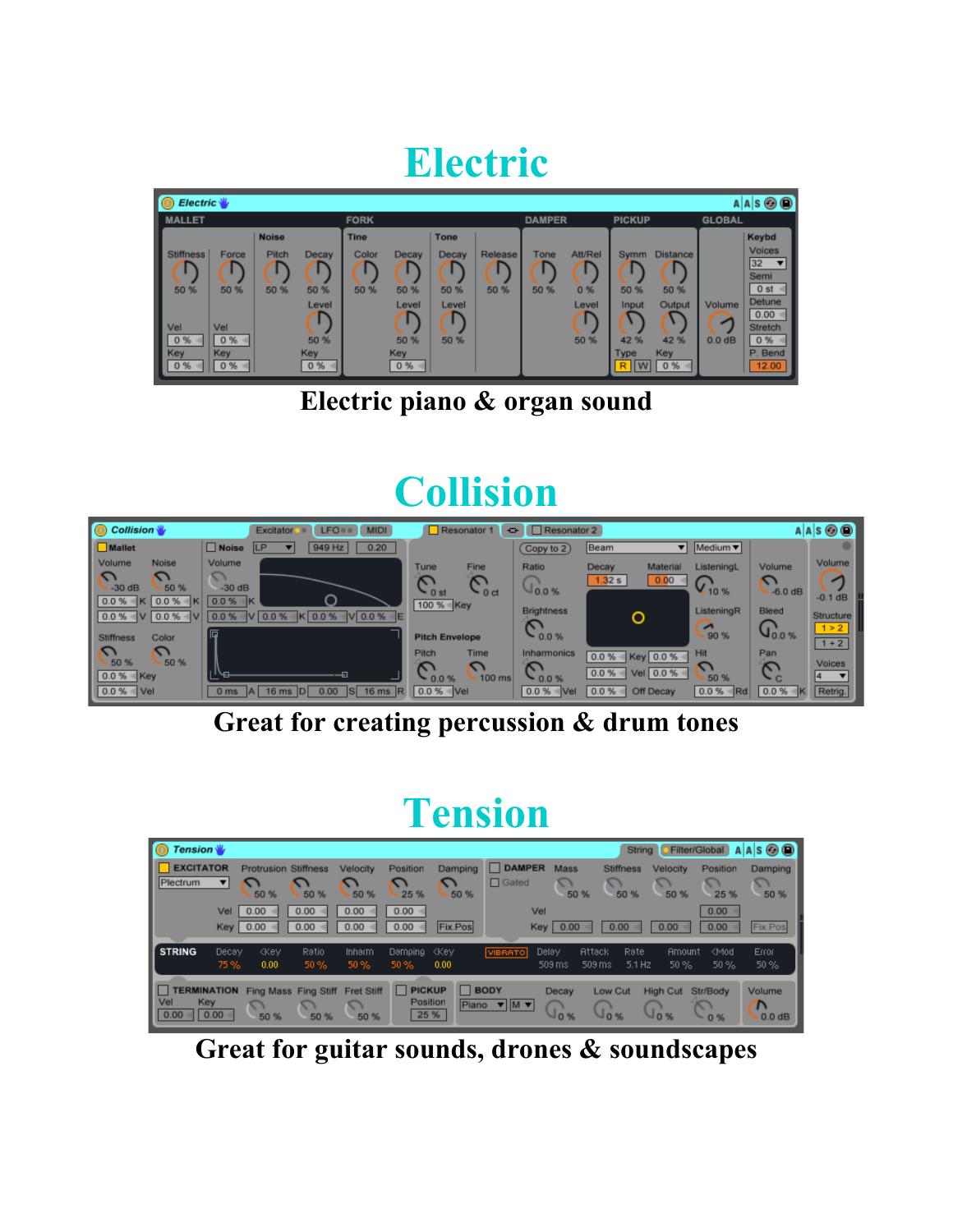#### **Electric**

| l O<br>$Electric \sqrt[n]{ }$                       |                                                 |                               |                                              |                              |                                             |                                        |                 |               |                                |                                                                     |                                                                 |                              | $A A S \otimes Q$                                                                                             |
|-----------------------------------------------------|-------------------------------------------------|-------------------------------|----------------------------------------------|------------------------------|---------------------------------------------|----------------------------------------|-----------------|---------------|--------------------------------|---------------------------------------------------------------------|-----------------------------------------------------------------|------------------------------|---------------------------------------------------------------------------------------------------------------|
| <b>MALLET</b>                                       |                                                 |                               |                                              | <b>FORK</b>                  |                                             |                                        |                 | <b>DAMPER</b> |                                | <b>PICKUP</b>                                                       |                                                                 | <b>GLOBAL</b>                |                                                                                                               |
| <b>Stiffness</b><br>50 %<br>Vel<br>0 %<br>Key<br>0% | Force<br>50 %<br>Vel<br>$0% =$<br>Key<br>$0% =$ | <b>Noise</b><br>Pitch<br>50 % | Decay<br>50 %<br>Level<br>50 %<br>Key<br>0 % | <b>Tine</b><br>Color<br>50 % | Decay<br>50 %<br>Level<br>50 %<br>Key<br>0% | Tone<br>Decay<br>50 %<br>Level<br>50 % | Release<br>50 % | Tone<br>50 %  | Att/Rel<br>0%<br>Level<br>50 % | <b>Symm</b><br>50 %<br>Input<br>42 %<br>Type<br>$\mathsf{I}$ W<br>R | <b>Distance</b><br>50 %<br>Output<br>42 %<br>Key<br>0 %<br>$-1$ | Volume<br>0.0 <sub>d</sub> B | Keybd<br>Voices<br>32<br>Semi<br>$0$ st $\rightarrow$<br>Detune<br>0.00<br>Stretch<br>0 %<br>P. Bend<br>12.00 |

**Electric piano & organ sound**

### **Collision**



**Great for creating percussion & drum tones**

#### **Tension**

| IO<br><b>Tension</b>                   |              |                                     |                              |                           |                                   |                    |                             |                           | String                     |                       | Filter/Global        | $A A S$ $\odot$ $\odot$                  |
|----------------------------------------|--------------|-------------------------------------|------------------------------|---------------------------|-----------------------------------|--------------------|-----------------------------|---------------------------|----------------------------|-----------------------|----------------------|------------------------------------------|
| <b>EXCITATOR</b><br>Plectrum           | ▼            | <b>Protrusion Stiffness</b><br>50 % | 50 %                         | Velocity<br>50 %          | Position<br>25 %                  | Damping<br>50 %    | DAMPER<br>$\Box$ Gated      | Mass<br>v<br>50 %         | <b>Stiffness</b><br>50 %   | Velocity<br>50 %      | Position<br>25 %     | Damping<br>50 %                          |
|                                        | Vel<br>Key   | 0.00<br>0.00                        | 0.00<br>0.00                 | 0.00<br>0.00              | $0.00 =$<br>0.00                  | Fix.Pos            | Vel                         | $Key$ 0.00                | 0.00                       | 0.00                  | 0.00<br>0.00         | Fix.Pos                                  |
| I<br><b>STRING</b>                     | Decay<br>75% | <b>Key</b><br>0.00                  | Ratio<br>50%                 | Inharm<br>50%             | Damping<br>$50\%$                 | <b>Key</b><br>0.00 | VIBRATO                     | Delay<br>Attack<br>509 ms | Rate<br>$5.1$ Hz<br>509 ms | <b>Amount</b><br>50%  | <mod<br>50%</mod<br> | Error<br>50%                             |
| <b>ERMINATION</b><br><b>Vel</b><br>Key | 0.00         | 50 %                                | Fing Mass Fing Stiff<br>50 % | <b>Fret Stiff</b><br>50 % | <b>PICKUP</b><br>Position<br>25 % | <b>BODY</b>        | Piano <b>v</b>   M <b>v</b> | Decay<br>10%              | Low Cut<br>J 0 %           | <b>High Cut</b><br>0% | Str/Body<br>0 %      | <b>Volume</b><br>$\mathbf n$<br>$0.0$ dB |

**Great for guitar sounds, drones & soundscapes**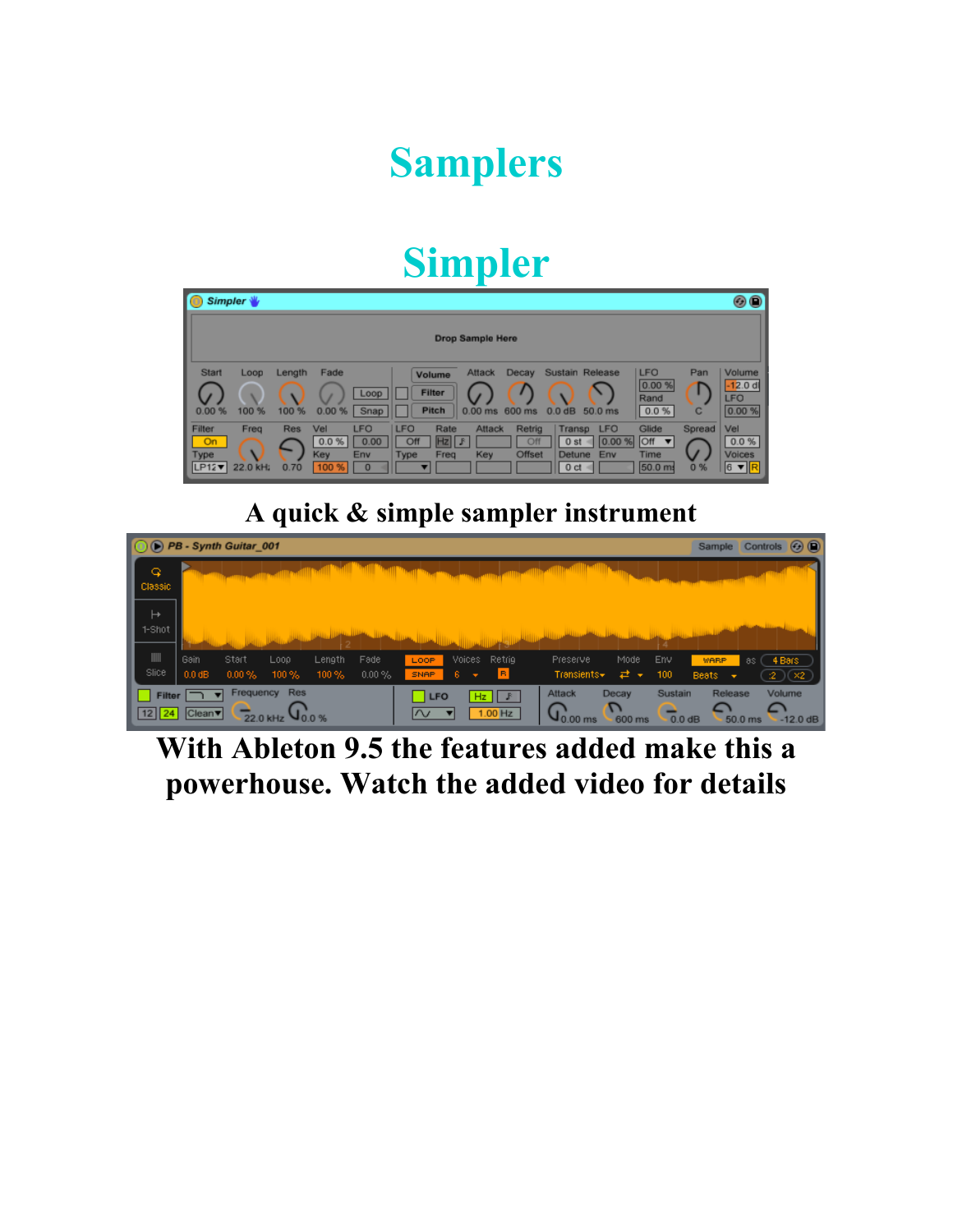## **Samplers**

#### **Simpler**

| Simpler \                    |                  |                    |                             |                                       |                           |                                         |                         |                                |                                                        |                            |                                                                           |               | $\circledcirc$                               |
|------------------------------|------------------|--------------------|-----------------------------|---------------------------------------|---------------------------|-----------------------------------------|-------------------------|--------------------------------|--------------------------------------------------------|----------------------------|---------------------------------------------------------------------------|---------------|----------------------------------------------|
|                              |                  |                    |                             |                                       |                           |                                         | <b>Drop Sample Here</b> |                                |                                                        |                            |                                                                           |               |                                              |
| <b>Start</b><br>0.00%        | Loop<br>100 %    | Length<br>100 %    | Fade<br>0.00%               | Loop<br>Snap                          |                           | Volume<br><b>Filter</b><br><b>Pitch</b> | Attack<br>$0.00$ ms     | Decay<br>600 ms                | 0.0 dB                                                 | Sustain Release<br>50.0 ms | <b>LFO</b><br>0.00 %<br>Rand<br>0.0%                                      | Pan<br>C      | Volume<br>$-12.0$ dl<br><b>LFO</b><br>0.00 % |
| Filter<br>On<br>Type<br>LP12 | Freq<br>22.0 kH; | <b>Res</b><br>0.70 | Vel<br>0.0%<br>Key<br>100 % | <b>LFO</b><br>0.00<br>Env<br>$\bf{0}$ | <b>LFO</b><br>Off<br>Type | Rate<br>$HZ$ $F$<br>Freg                | Attack<br>Key           | Retrig<br>Off<br><b>Offset</b> | Transp<br>0 <sub>st</sub><br>Detune<br>0 <sub>ct</sub> | <b>LFO</b><br>0.00%<br>Env | Glide<br><b>Off</b><br>$\vert \mathbf{v} \vert$<br><b>Time</b><br>50.0 ms | Spread<br>0 % | Vel<br>0.0%<br>Voices<br>$6 \text{ v}$ R     |

#### **A quick & simple sampler instrument**

|                                 | $\odot$ (b) PB - Synth Guitar 001                      |                                            |                                                                 | Controls <b>OD</b><br>Sample     |
|---------------------------------|--------------------------------------------------------|--------------------------------------------|-----------------------------------------------------------------|----------------------------------|
| ₽                               |                                                        |                                            |                                                                 |                                  |
| <b>Classic</b>                  |                                                        |                                            |                                                                 |                                  |
| $\mapsto$                       |                                                        |                                            |                                                                 |                                  |
| 1-Shot                          |                                                        |                                            |                                                                 |                                  |
| $\parallel \parallel \parallel$ | Gain<br>Start<br>Fade<br>Length<br>Loop                | Voices Retrig<br>LOOP                      | Mode<br>Env<br>Preserve                                         | 4 Bars<br>WARP.<br>-8S (         |
| Slice                           | $0.0$ dB<br>$0.00\%$<br>$100\%$<br>$100\%$<br>$0.00\%$ | B<br>ß.<br>SNAP.<br>$\sim$                 | $Transients -$<br>100<br>ਵੇਂ ≁                                  | Beats:<br>(2)(2)<br>$\mathbf{v}$ |
| <b>Filter</b>                   | <b>Res</b><br>Frequency<br>$\overline{\phantom{a}}$    | <b>LFO</b><br>$Hz$ $\parallel$ $\parallel$ | Sustain<br>Attack<br>Decay                                      | Release<br>Volume                |
| 12  24                          | Clean <sup>v</sup><br>22.0 kHz                         | $1.00$ Hz<br>$\sim$<br>▼                   | D<br>$\mathsf{Q}^\infty_{0.00~\text{ms}}$<br>600 ms<br>$0.0$ dB | $-12.0$ dB<br>50.0 ms            |

#### **With Ableton 9.5 the features added make this a powerhouse. Watch the added video for details**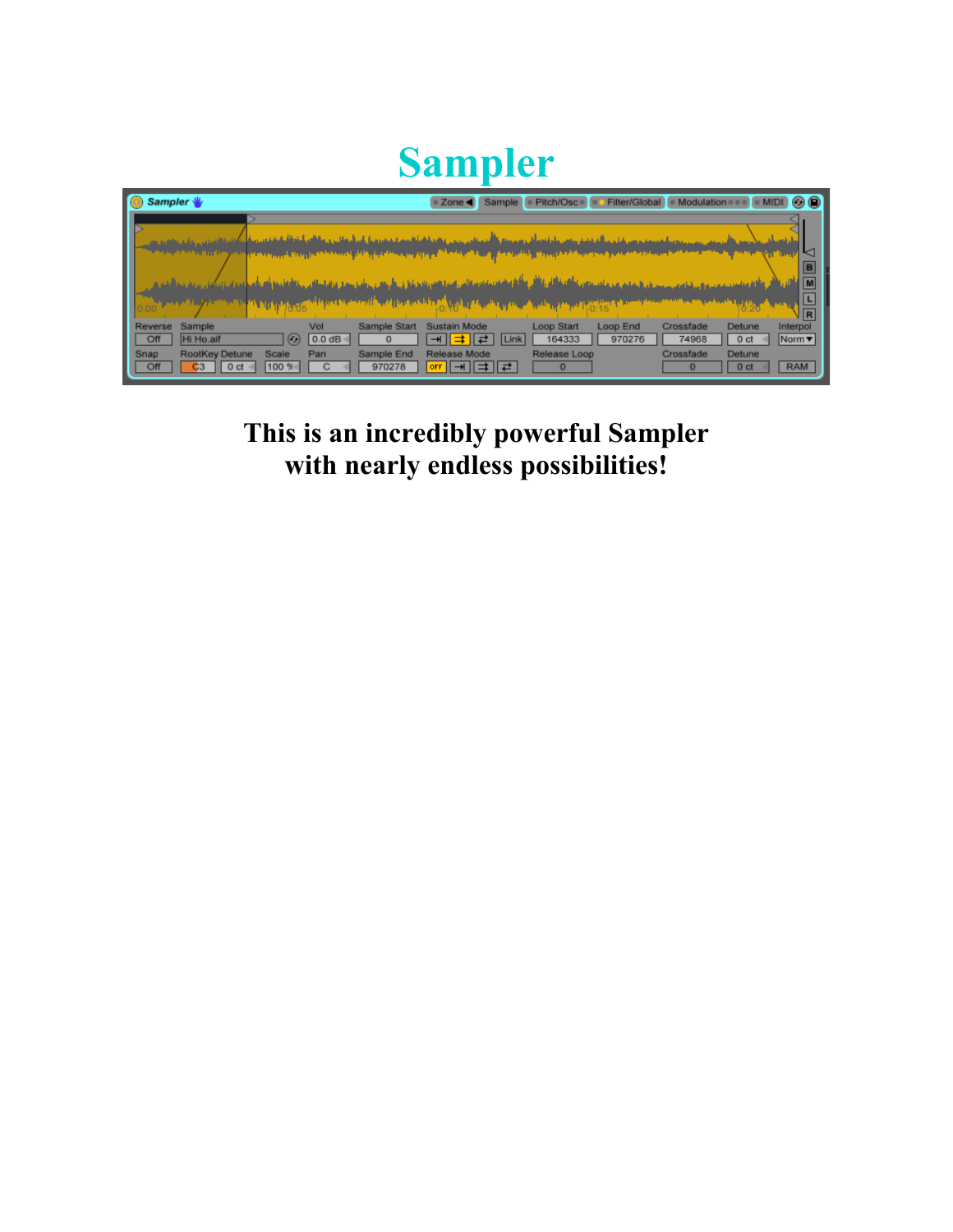## **Sampler**

| Sampler \                                               | Pitch/Osco o Filter/Global<br>· Modulation<br>Sample<br>$\circ$ $\circ$<br>$\bullet$ Zone                                                                                                                                                                                                   |
|---------------------------------------------------------|---------------------------------------------------------------------------------------------------------------------------------------------------------------------------------------------------------------------------------------------------------------------------------------------|
|                                                         |                                                                                                                                                                                                                                                                                             |
|                                                         | <b>k</b><br><b>IB</b><br>M<br>راكال والألغ مناطح رجامه                                                                                                                                                                                                                                      |
|                                                         | $\overline{L}$<br>$\sqrt{R}$                                                                                                                                                                                                                                                                |
| Reverse<br>Sample<br>Hi Ho.aif<br>Off                   | Loop Start<br>Vol<br>Sample Start<br>Sustain Mode<br>Loop End<br>Crossfade<br>Detune<br>Interpol<br>$(\epsilon_{\mathcal{F}})$<br>Norm $\blacktriangledown$<br>0.0 dB<br>164333<br>970276<br>74968<br>$\overline{\mathcal{H}}$ $  $<br><b>Link</b><br>0 <sub>ct</sub><br>귵<br>$\Omega$<br>⇉ |
| RootKey Detune<br>Snap<br>Off<br>C <sub>3</sub><br>0 ct | Release Loop<br>Sample End<br>Crossfade<br>Detune<br><b>Release Mode</b><br>Scale<br>Pan<br>∣ <del>⊣</del> ∥ ≢ ∥ ≓<br>100 %<br>970278<br><b>RAM</b><br>0 ct<br>OFF<br>$\bf{0}$                                                                                                              |

**This is an incredibly powerful Sampler with nearly endless possibilities!**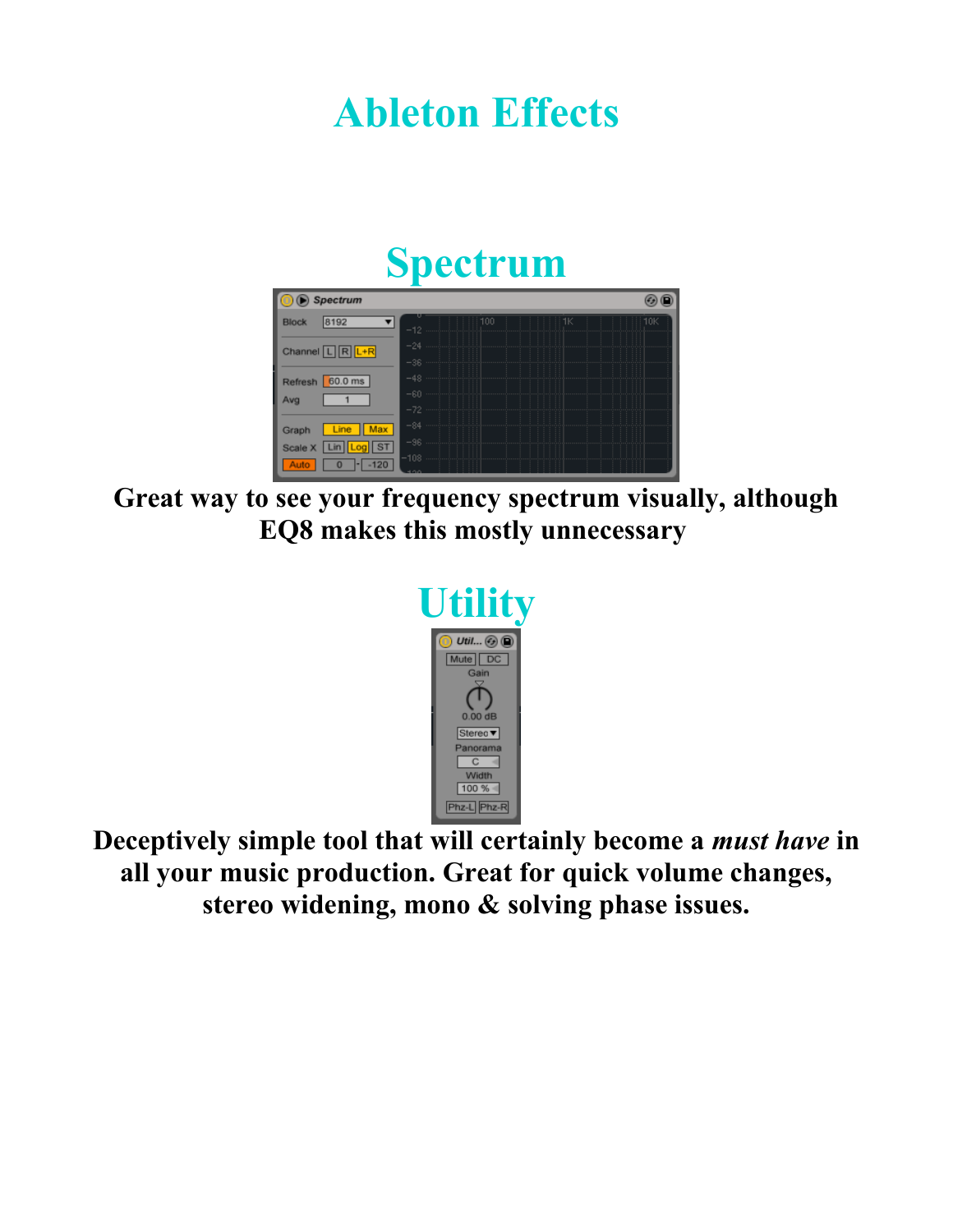#### **Ableton Effects**



**Great way to see your frequency spectrum visually, although EQ8 makes this mostly unnecessary** 



**Deceptively simple tool that will certainly become a** *must have* **in all your music production. Great for quick volume changes, stereo widening, mono & solving phase issues.**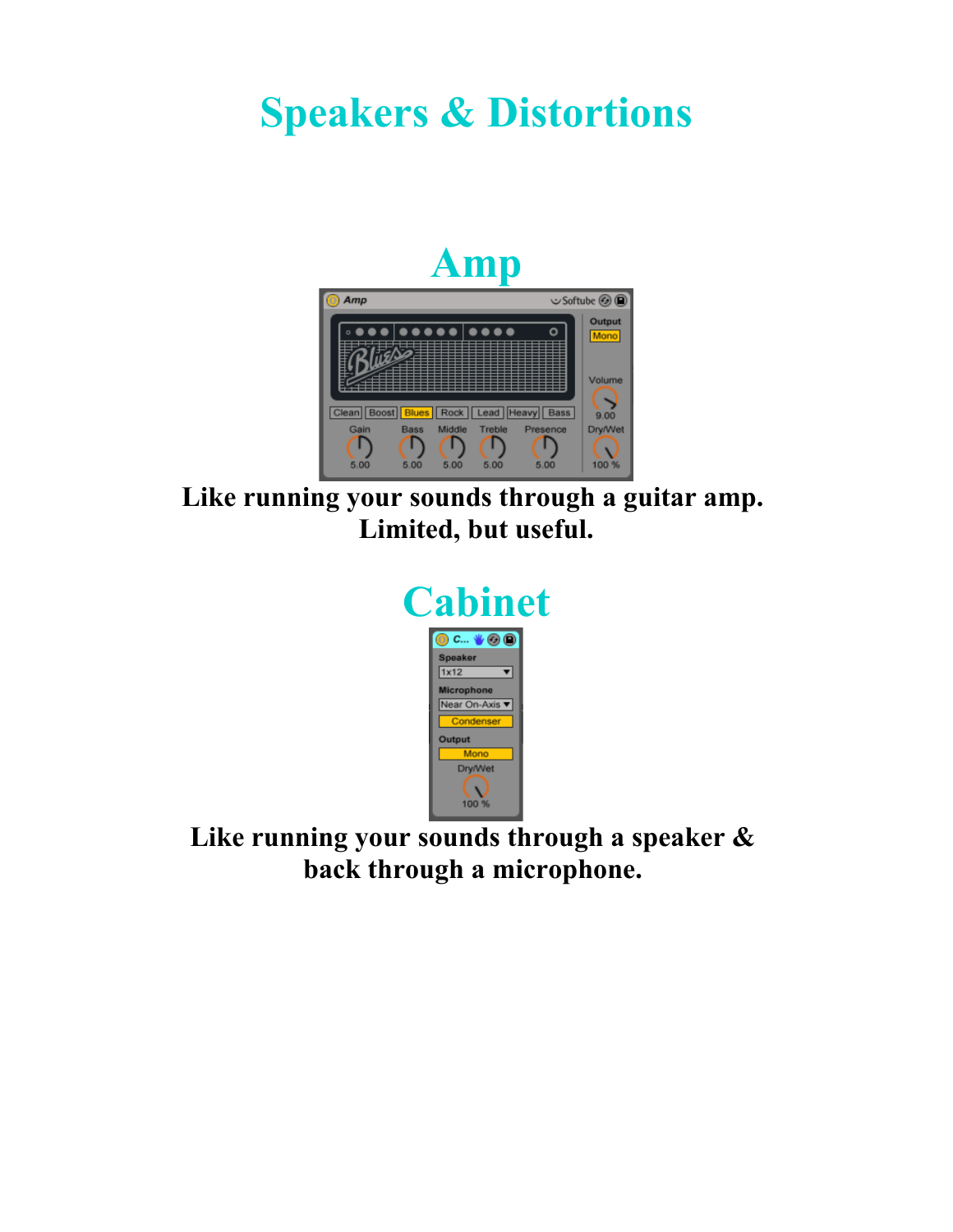#### **Speakers & Distortions**

#### **Amp**



**Like running your sounds through a guitar amp. Limited, but useful.**



**Like running your sounds through a speaker & back through a microphone.**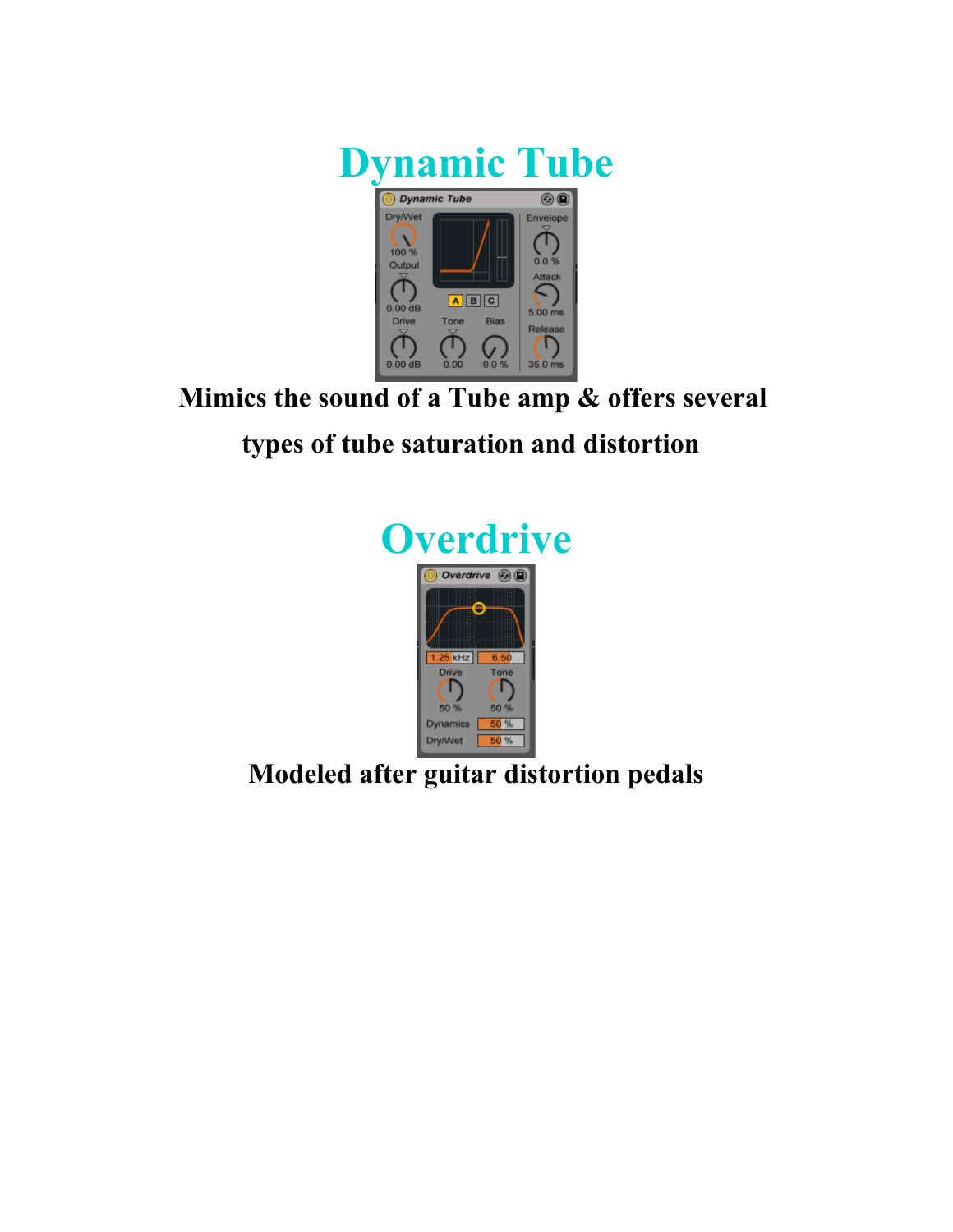

**Mimics the sound of a Tube amp & offers several** 

#### **types of tube saturation and distortion**



**Modeled after guitar distortion pedals**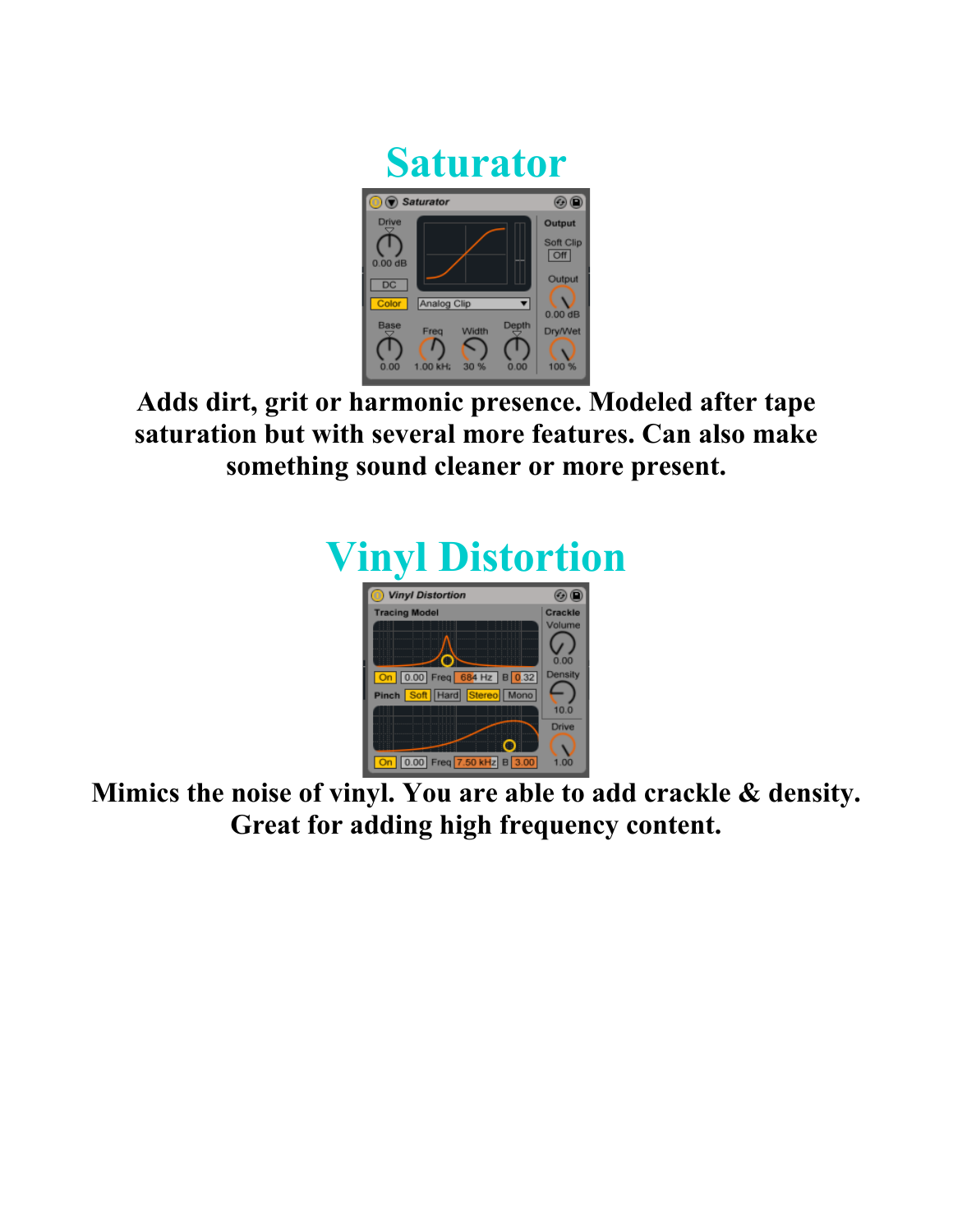

**Adds dirt, grit or harmonic presence. Modeled after tape saturation but with several more features. Can also make something sound cleaner or more present.**



**Mimics the noise of vinyl. You are able to add crackle & density. Great for adding high frequency content.**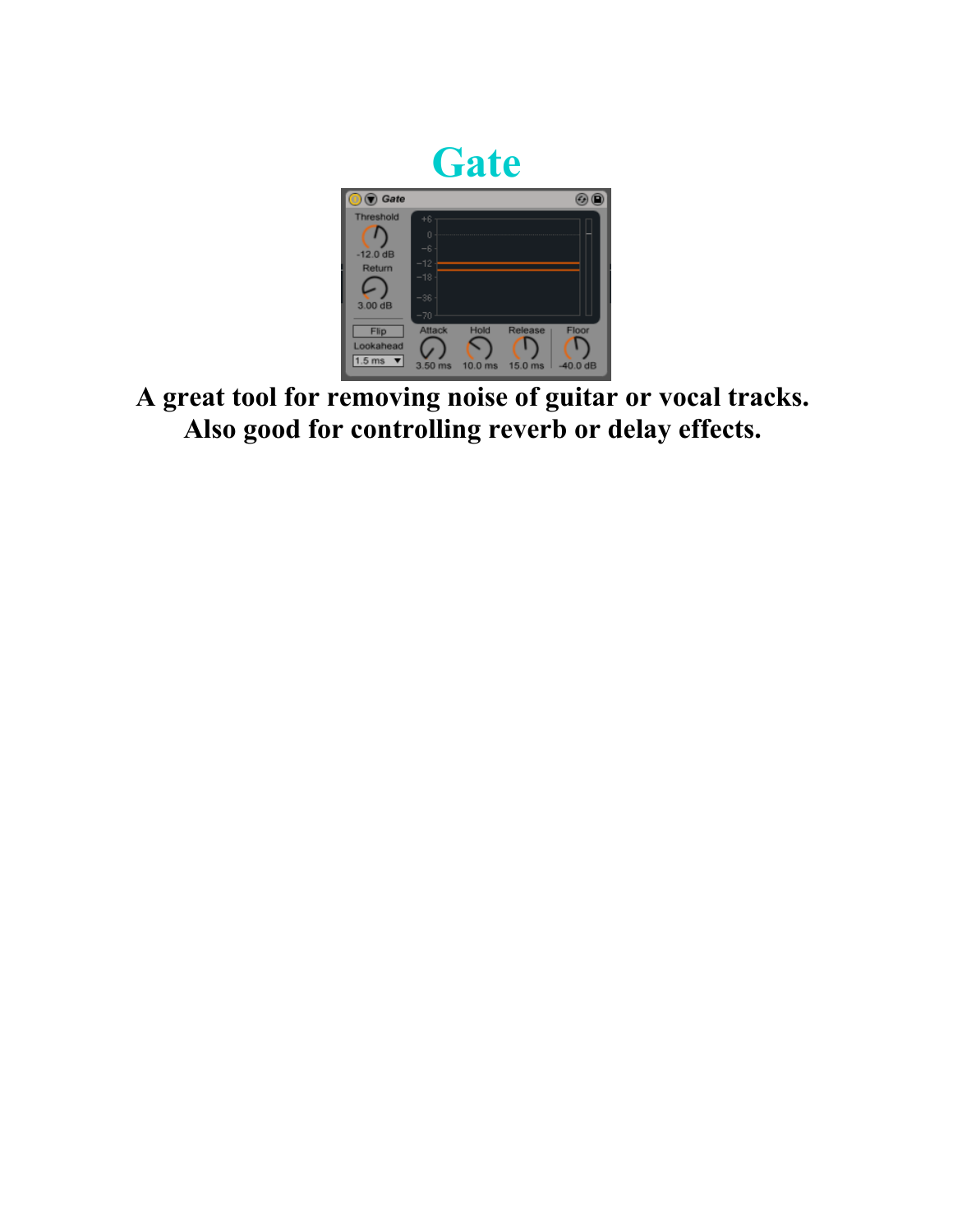

**A great tool for removing noise of guitar or vocal tracks. Also good for controlling reverb or delay effects.**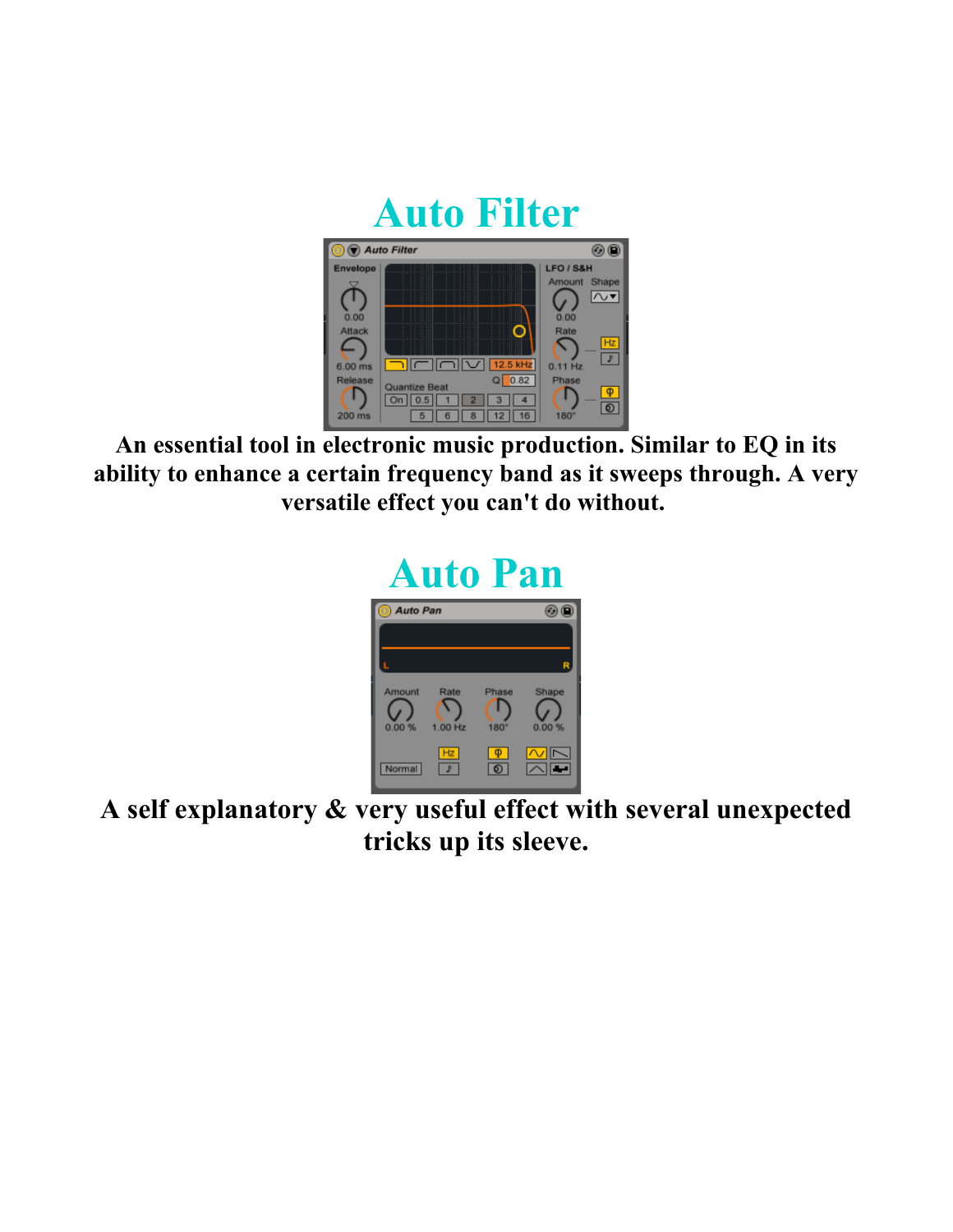

**An essential tool in electronic music production. Similar to EQ in its ability to enhance a certain frequency band as it sweeps through. A very versatile effect you can't do without.** 



**A self explanatory & very useful effect with several unexpected tricks up its sleeve.**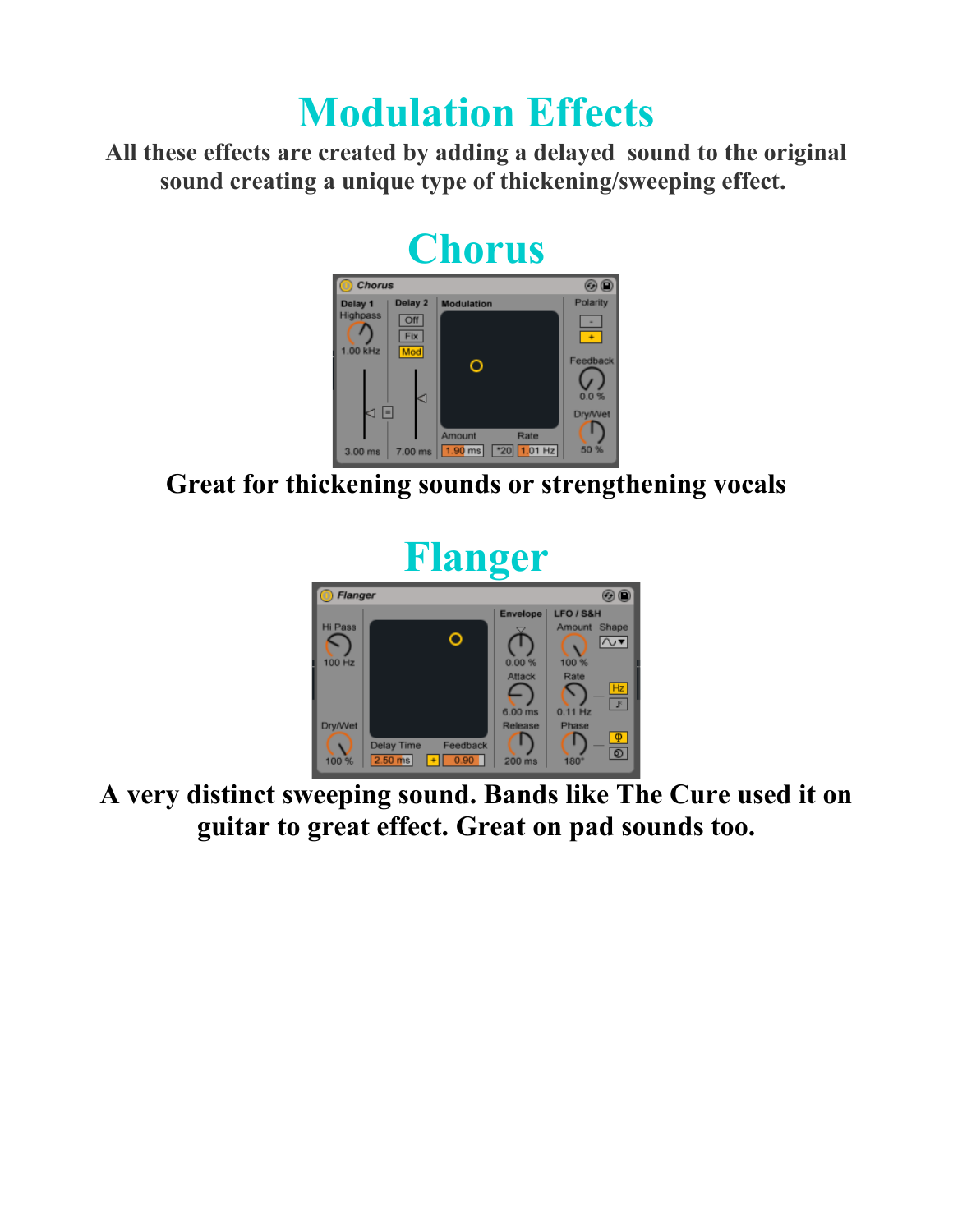#### **Modulation Effects**

**All these effects are created by adding a delayed sound to the original sound creating a unique type of thickening/sweeping effect.** 

## **Chorus**



**Great for thickening sounds or strengthening vocals**



**A very distinct sweeping sound. Bands like The Cure used it on guitar to great effect. Great on pad sounds too.**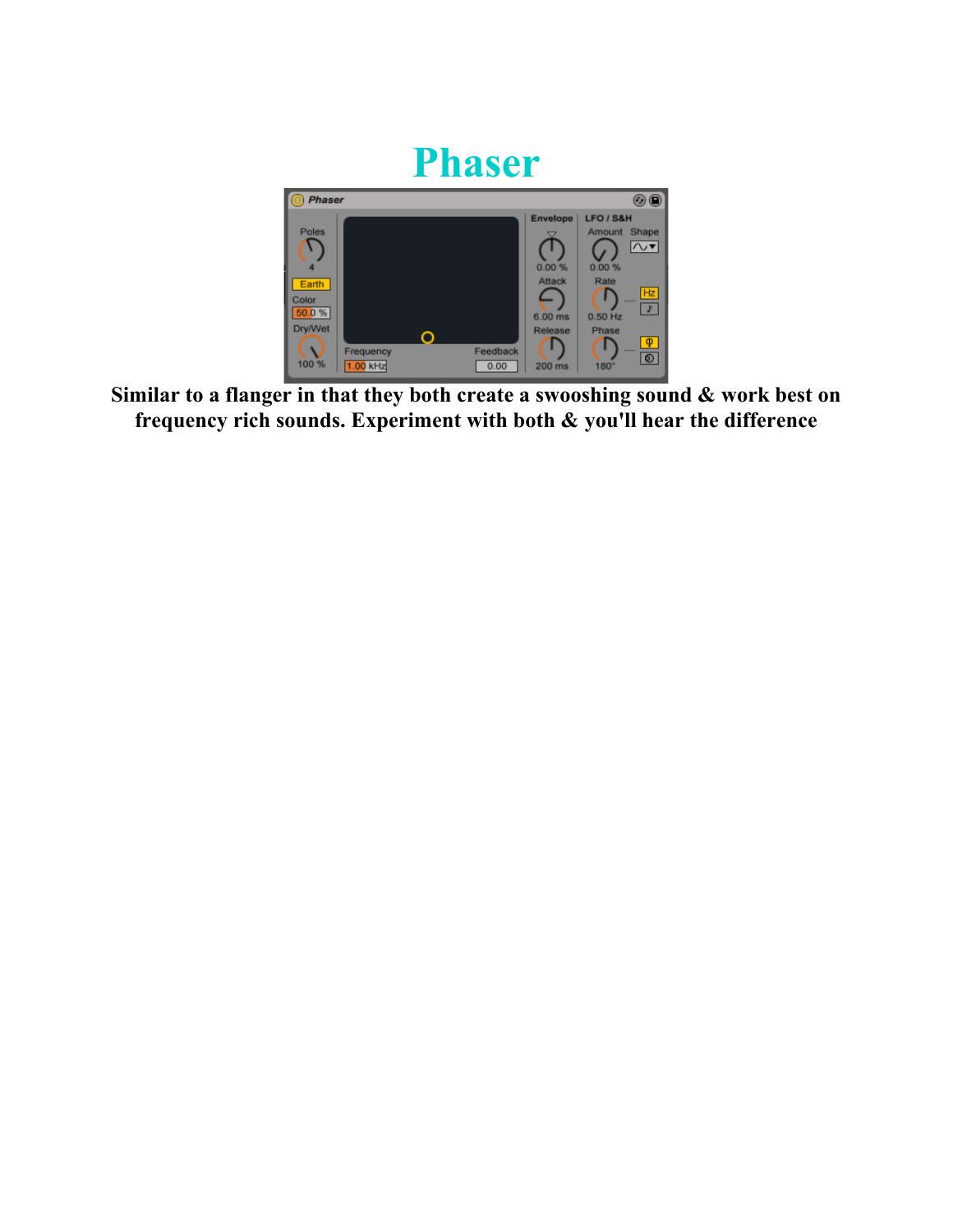

**Similar to a flanger in that they both create a swooshing sound & work best on frequency rich sounds. Experiment with both & you'll hear the difference**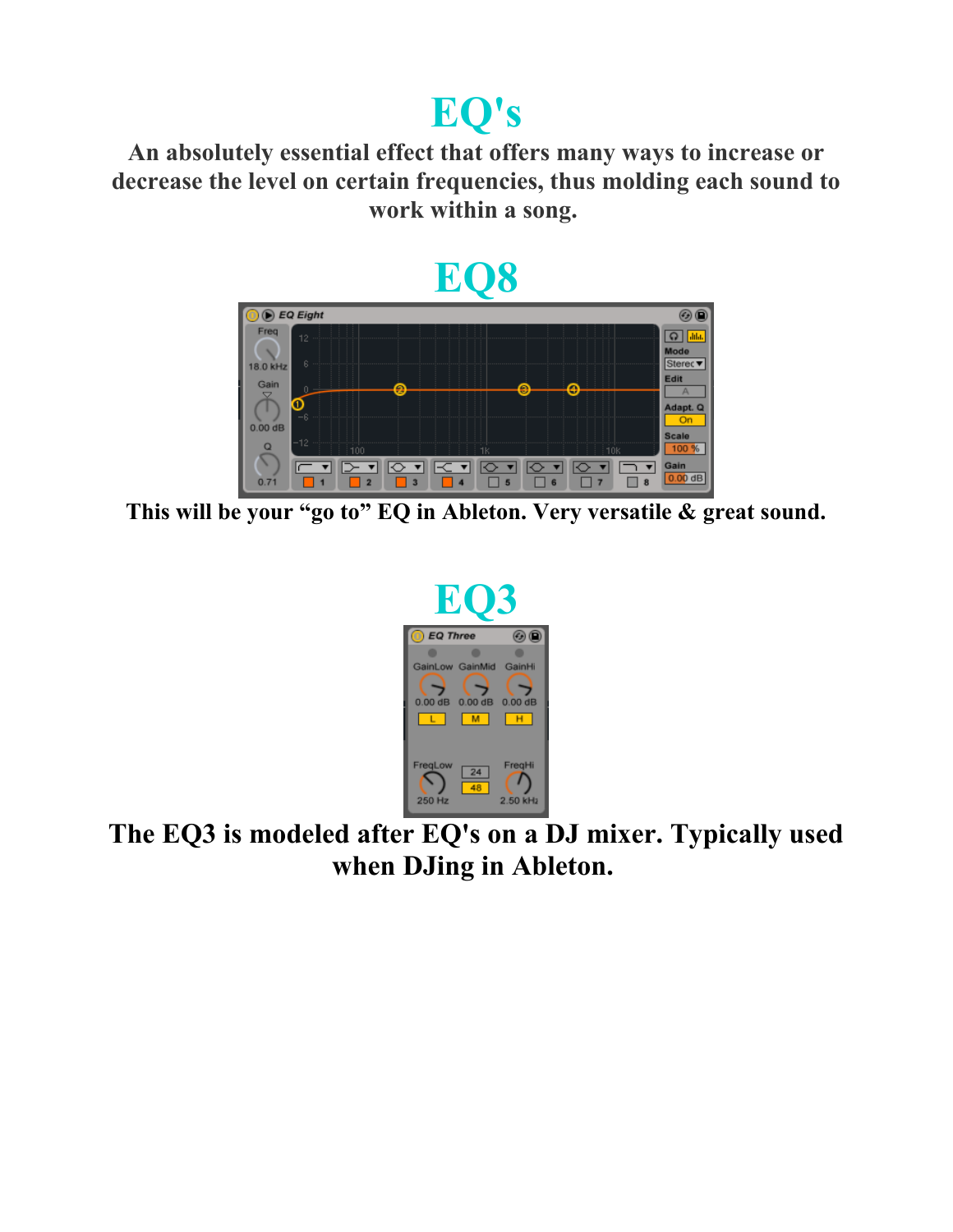#### **EQ's**

**An absolutely essential effect that offers many ways to increase or decrease the level on certain frequencies, thus molding each sound to work within a song.** 



**This will be your "go to" EQ in Ableton. Very versatile & great sound.**



**The EQ3 is modeled after EQ's on a DJ mixer. Typically used when DJing in Ableton.**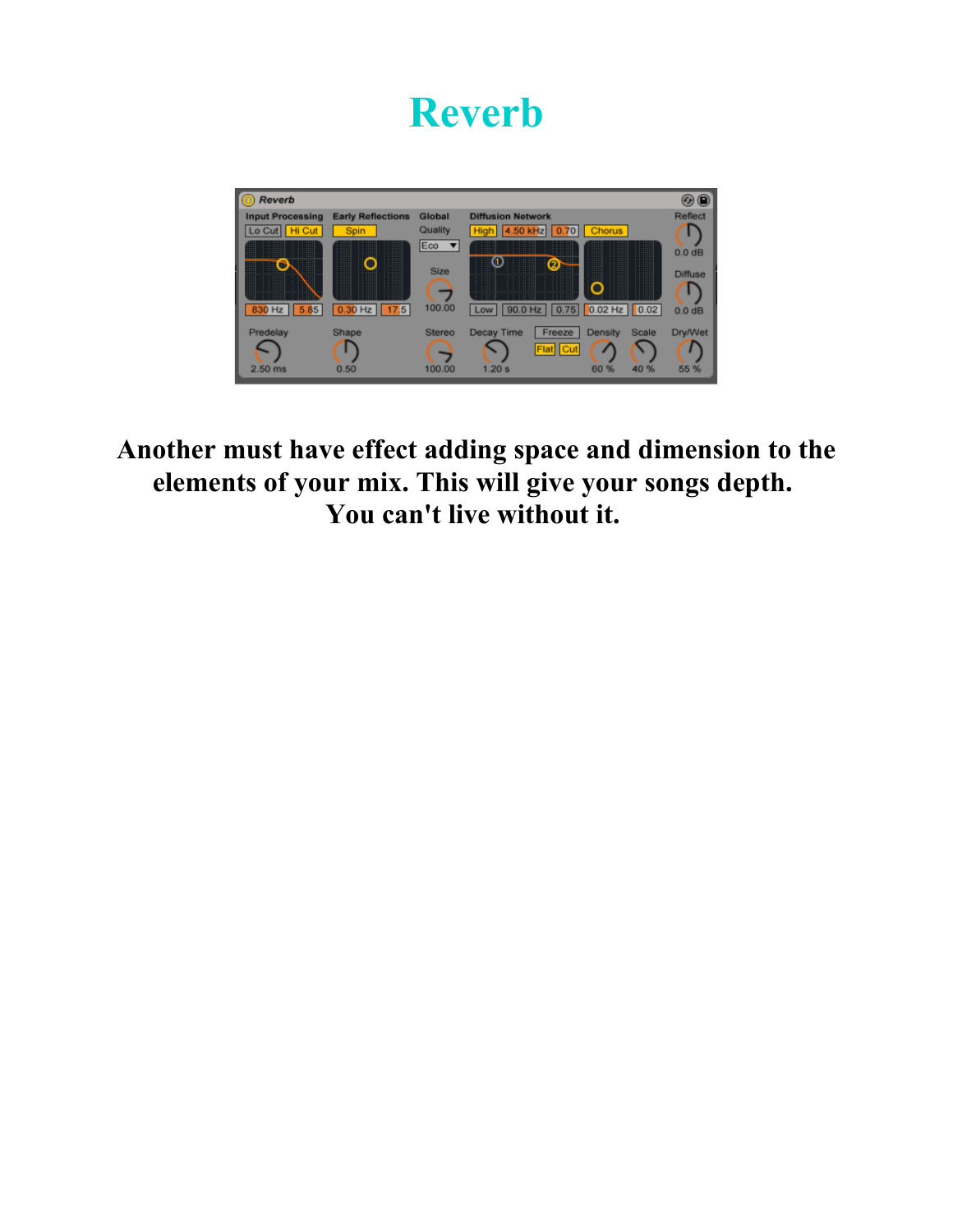#### **Reverb**



**Another must have effect adding space and dimension to the elements of your mix. This will give your songs depth. You can't live without it.**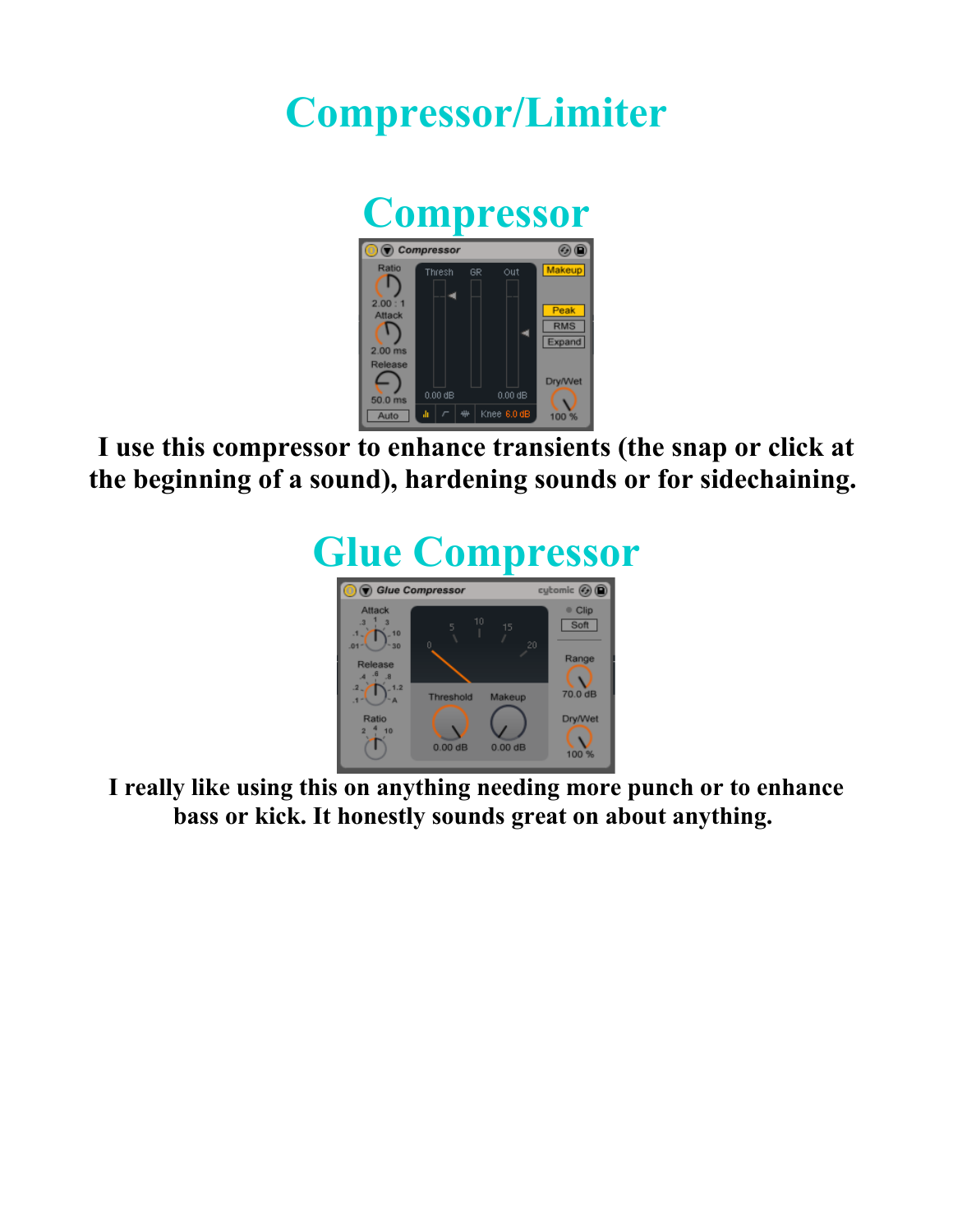#### **Compressor/Limiter**



**I use this compressor to enhance transients (the snap or click at the beginning of a sound), hardening sounds or for sidechaining.** 



**I really like using this on anything needing more punch or to enhance bass or kick. It honestly sounds great on about anything.**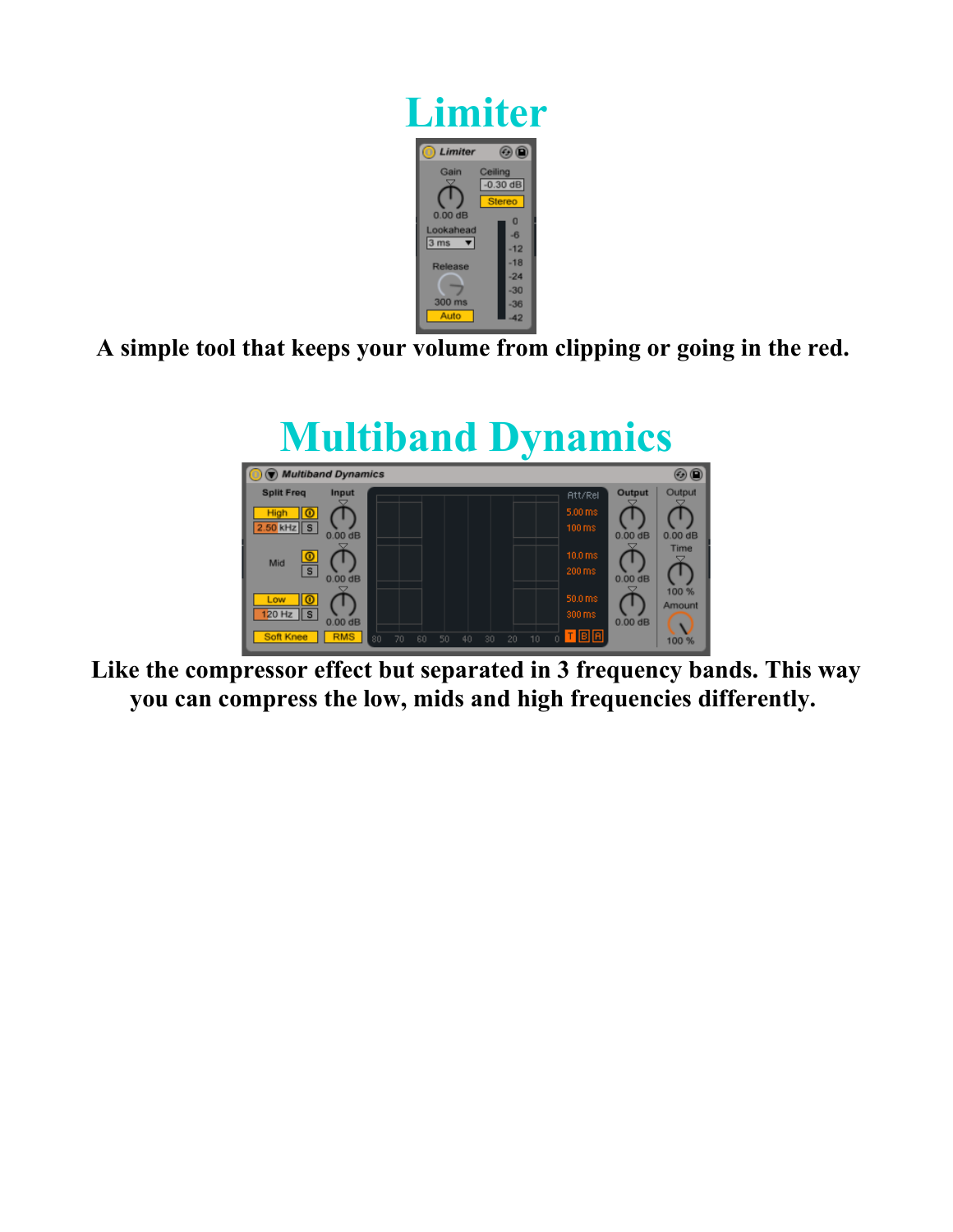

**A simple tool that keeps your volume from clipping or going in the red.** 



**Like the compressor effect but separated in 3 frequency bands. This way you can compress the low, mids and high frequencies differently.**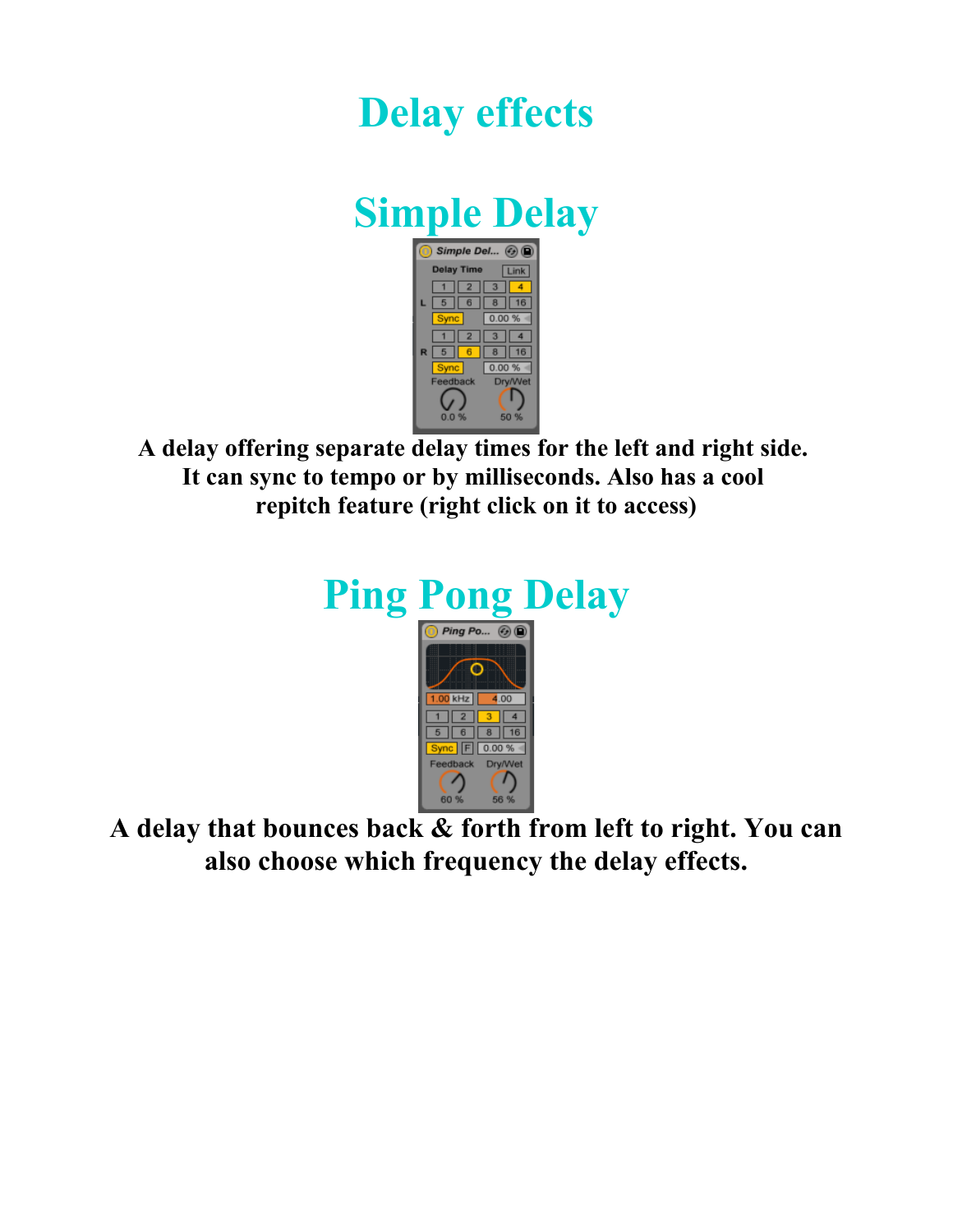#### **Delay effects**

#### **Simple Delay**



**A delay offering separate delay times for the left and right side. It can sync to tempo or by milliseconds. Also has a cool repitch feature (right click on it to access)**





 $\sqrt{2}$ 

6

 $3 \mid 4$ 

 $8$  16 <mark>c</mark> F 0.00 % + Feedback Dry/Wet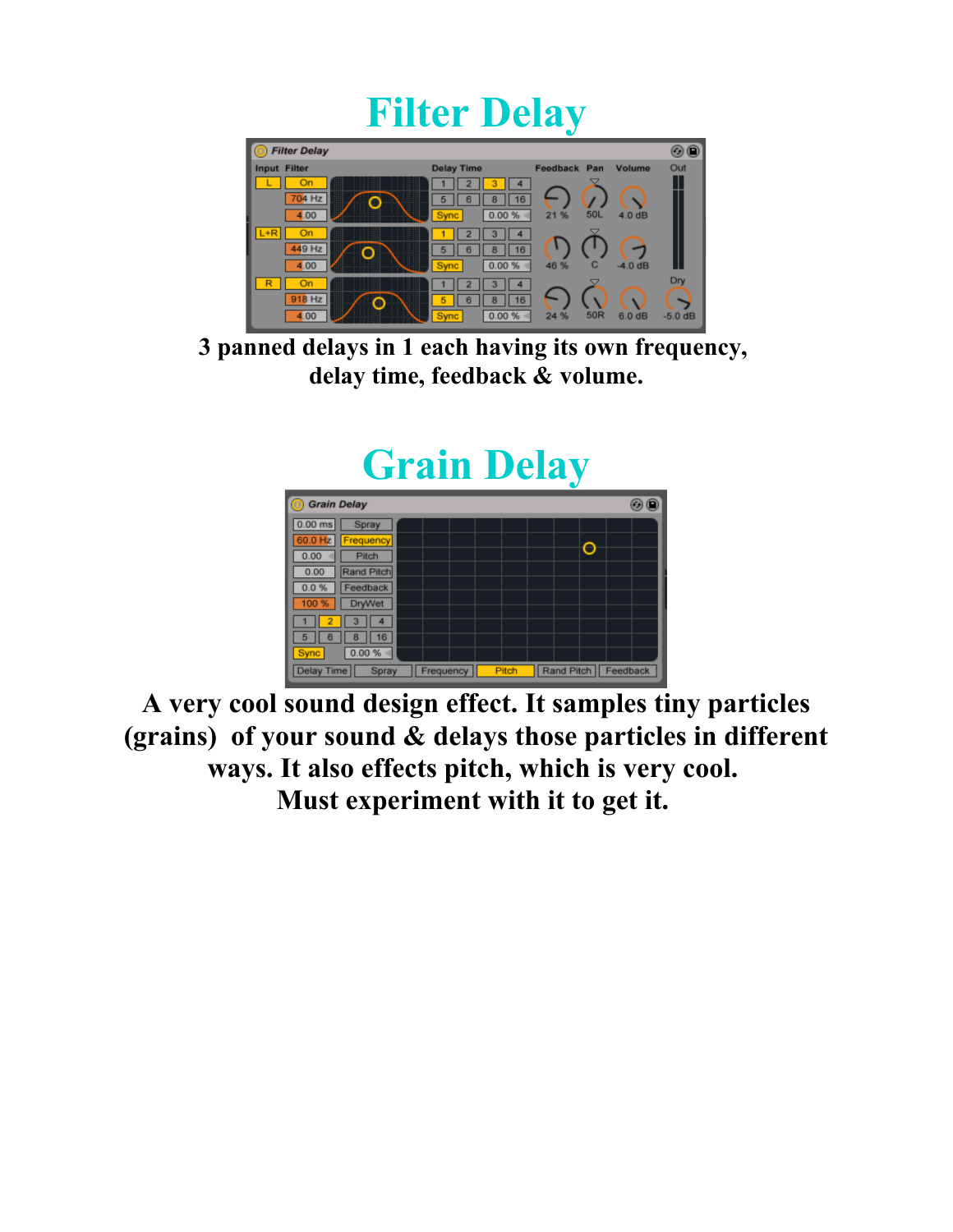#### **Filter Delay**



**3 panned delays in 1 each having its own frequency, delay time, feedback & volume.**

## **Grain Delay**



**A very cool sound design effect. It samples tiny particles (grains) of your sound & delays those particles in different ways. It also effects pitch, which is very cool. Must experiment with it to get it.**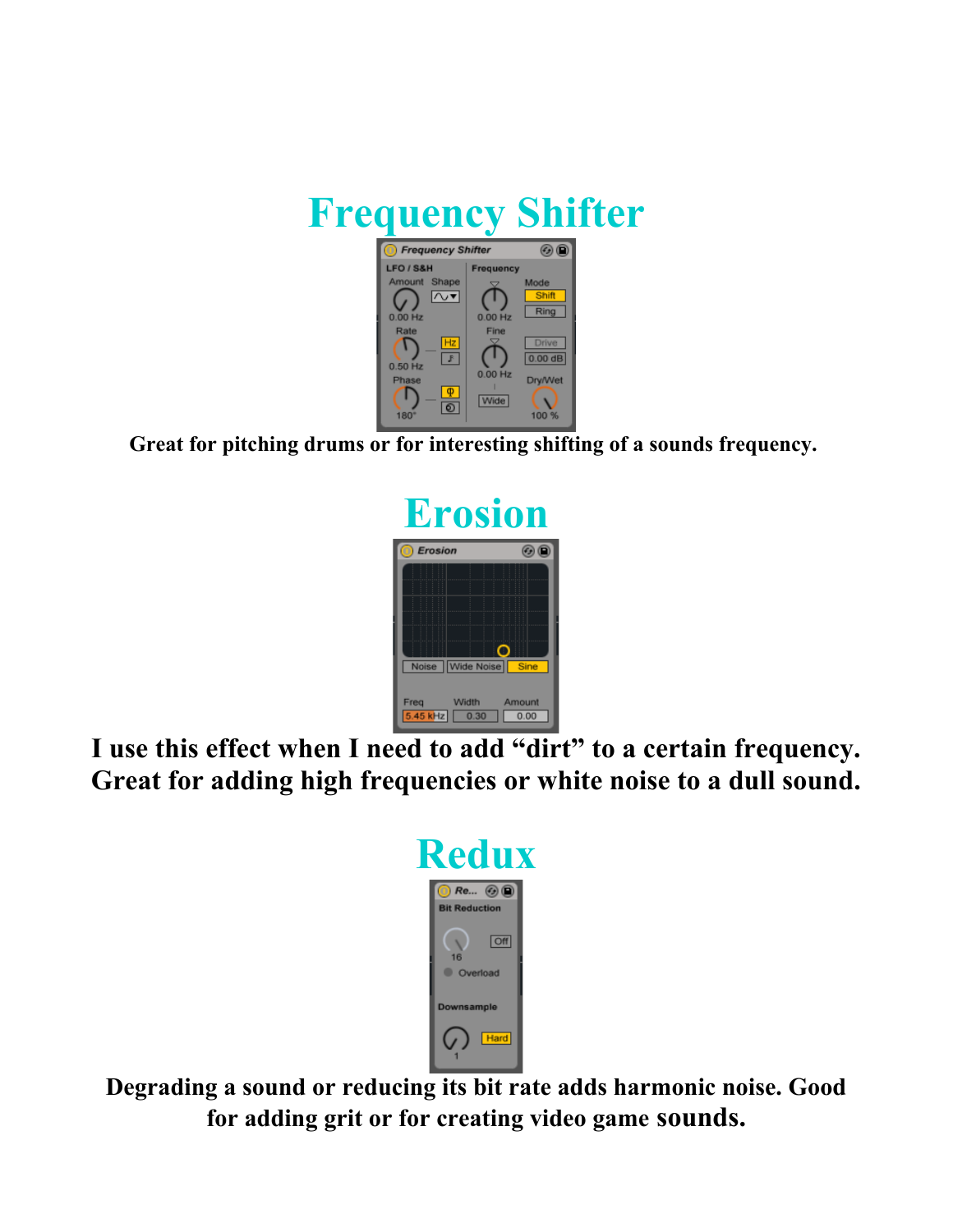

**Great for pitching drums or for interesting shifting of a sounds frequency.** 



**I use this effect when I need to add "dirt" to a certain frequency. Great for adding high frequencies or white noise to a dull sound.**



**Degrading a sound or reducing its bit rate adds harmonic noise. Good for adding grit or for creating video game sounds.**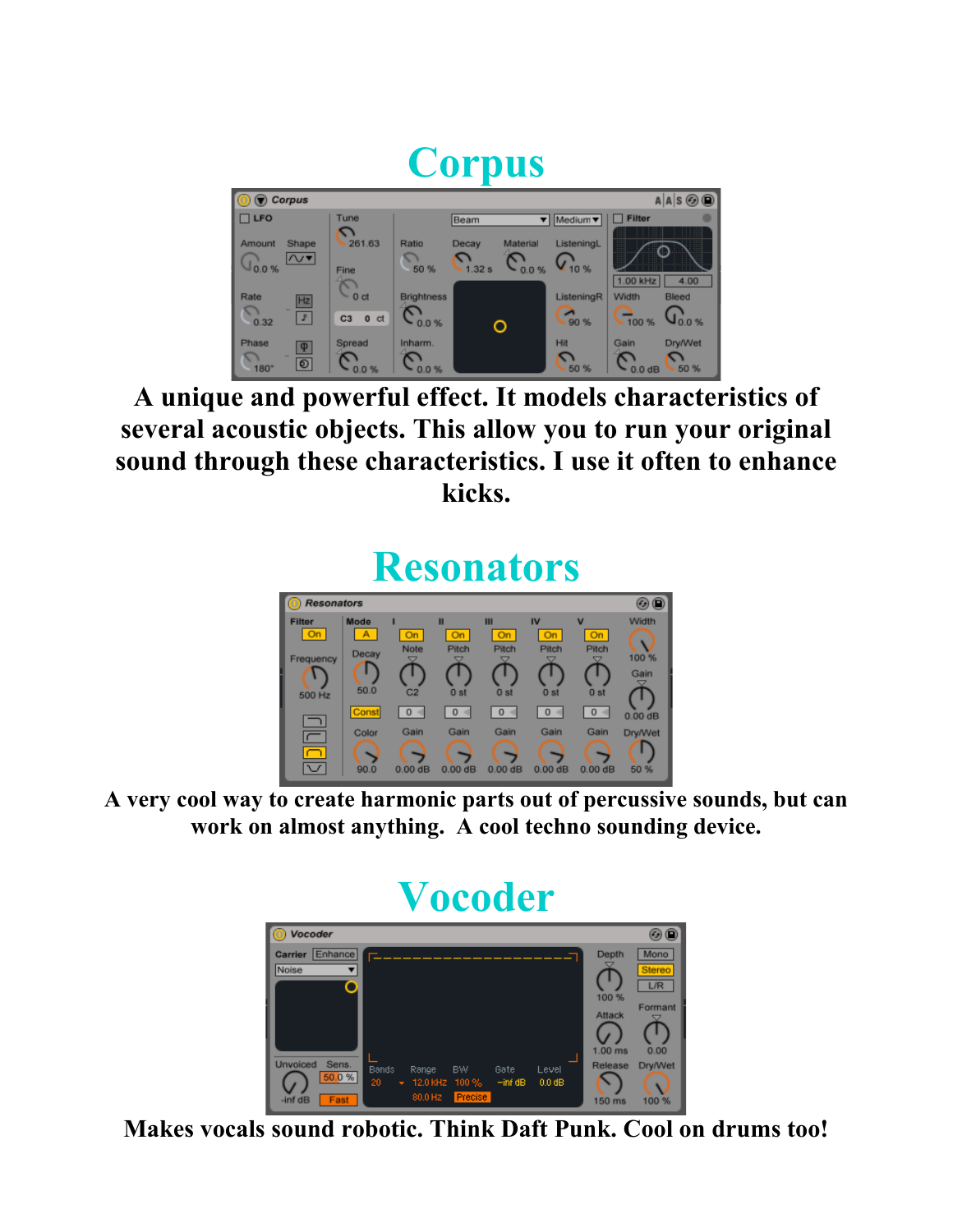#### **Corpus**  $\bigcirc$  Corpus  $A|A|S$  $\circledcirc$ ▼ Medium ▼ | □ Filter  $\Box$  LFO Tune Beam  $\sum_{261.63}$ Shape Ratio Material ListeningL Amount  $C_{1.32 s} C_{0.0 %}$  $\overline{\sim}$  $Q_{10\%}$  $\frac{1}{50}$  %  $\mathsf{U}_{0.0\%}$ Fine  $1.00$  kHz  $4.00$  $C_{\rm od}$ **Brightness** ListeningR Rate Width  $Hz$  $\begin{array}{c} \bigcirc \\ 0.32 \end{array}$  $\boxed{3}$  $\mathcal{C}^{\,\bullet}_{\,\mathrm{0.0 \,}\mathrm{W}}$  $\frac{1}{90}$  %  $\frac{1}{100\%}$   $\sqrt{0.0\%}$  $C3$  0  $C1$ Ō Spread Inharm Dry/Wet Phase Hit Gain  $\boxed{\Phi}$  $\mathcal{C}_{50\,\%}$  $\bigcap_{180}$  $\mathbb{C}_{\scriptscriptstyle{0.0\,\%}}$  $\boxed{\circ}$  $\mathcal{C}^{\sigma\circ}_{\sigma}$  $C_{0.0\,\text{dB}}^{\bullet} C_{50\,\%}$

**A unique and powerful effect. It models characteristics of several acoustic objects. This allow you to run your original sound through these characteristics. I use it often to enhance kicks.**

#### **Resonators**



**A very cool way to create harmonic parts out of percussive sounds, but can work on almost anything. A cool techno sounding device.**



**Makes vocals sound robotic. Think Daft Punk. Cool on drums too!**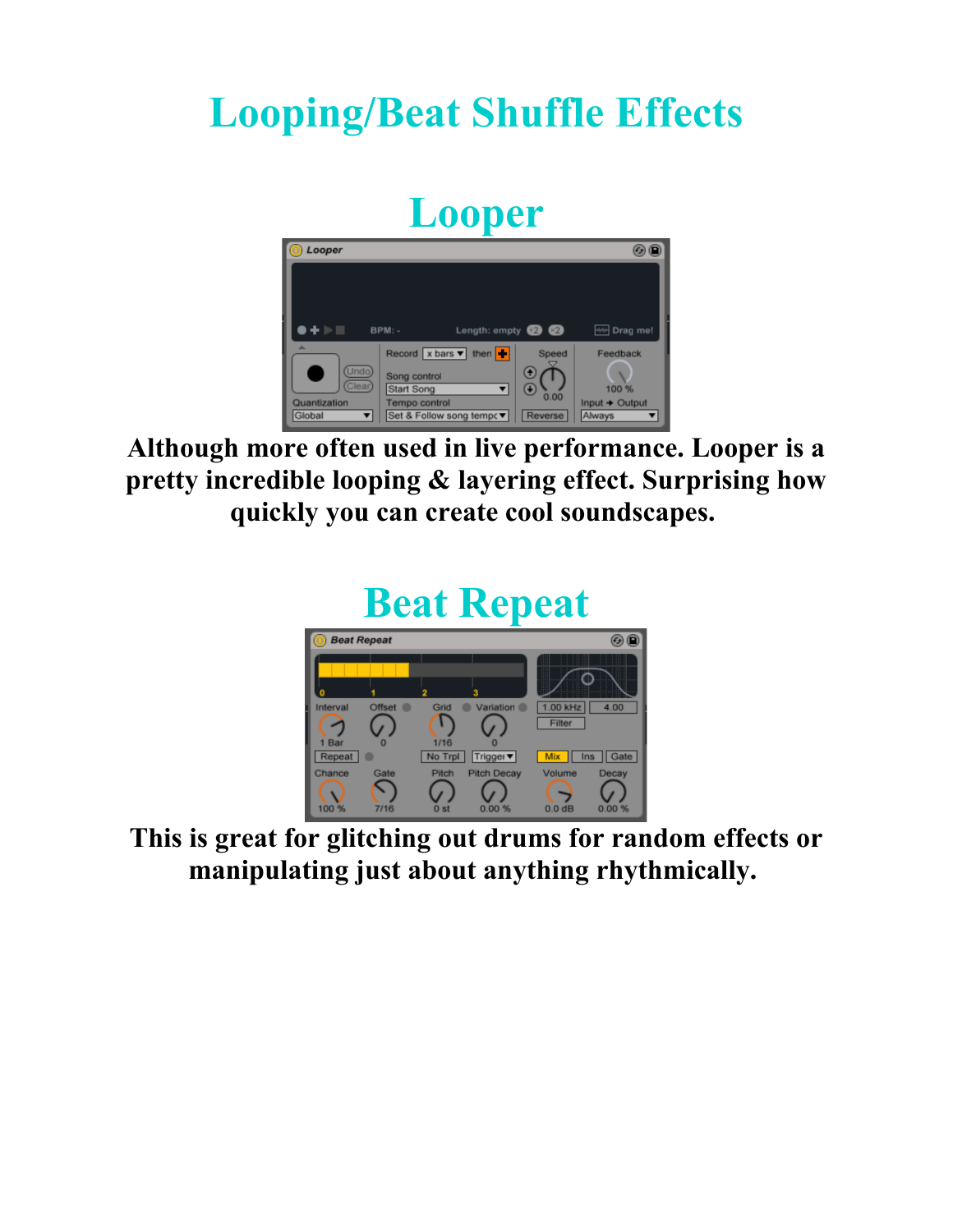#### **Looping/Beat Shuffle Effects**

#### **Looper**



**Although more often used in live performance. Looper is a pretty incredible looping & layering effect. Surprising how quickly you can create cool soundscapes.** 

#### **Beat Repeat**



**This is great for glitching out drums for random effects or manipulating just about anything rhythmically.**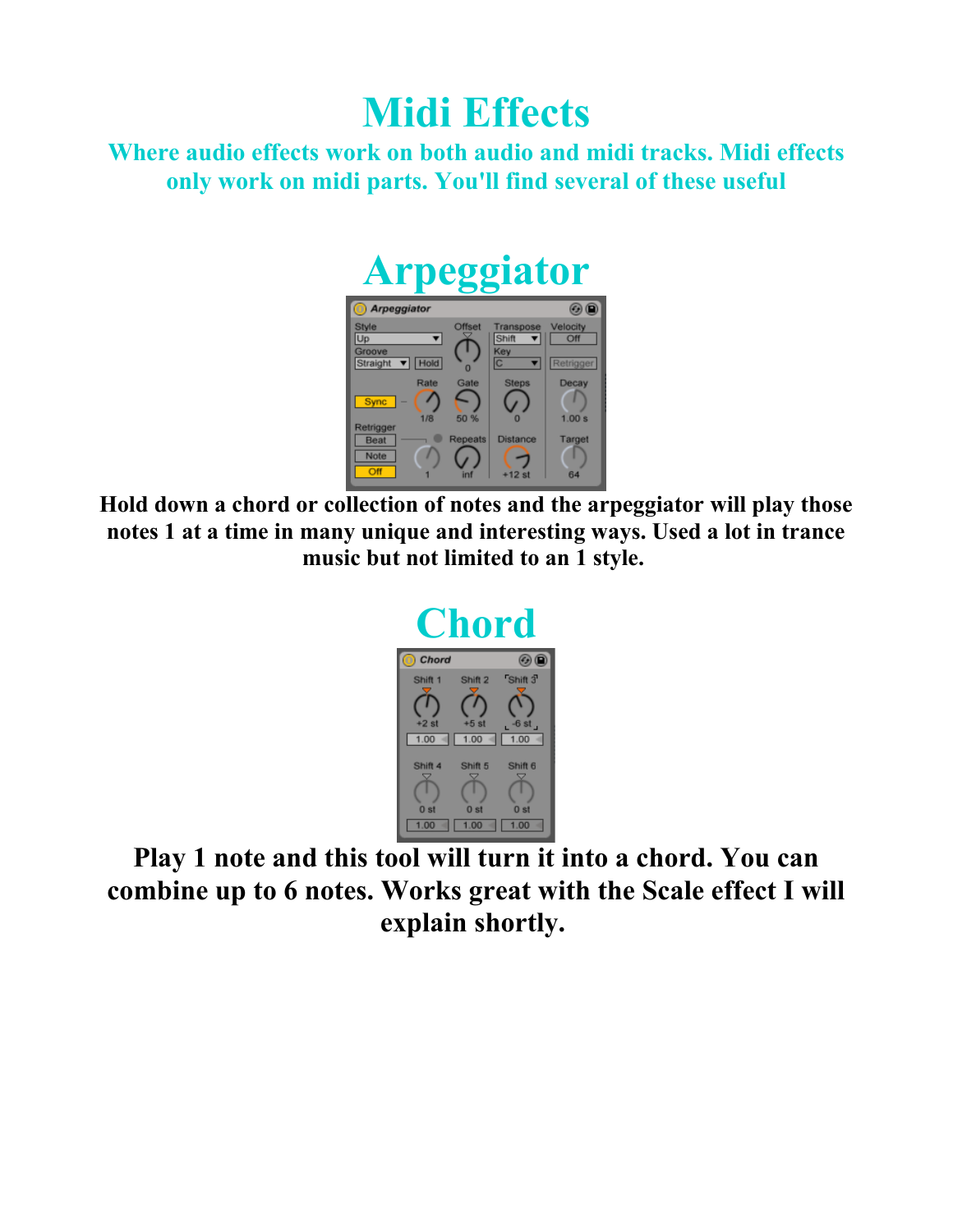#### **Midi Effects**

**Where audio effects work on both audio and midi tracks. Midi effects only work on midi parts. You'll find several of these useful**

## **Arpeggiator**



**Hold down a chord or collection of notes and the arpeggiator will play those notes 1 at a time in many unique and interesting ways. Used a lot in trance music but not limited to an 1 style.** 



**Play 1 note and this tool will turn it into a chord. You can combine up to 6 notes. Works great with the Scale effect I will explain shortly.**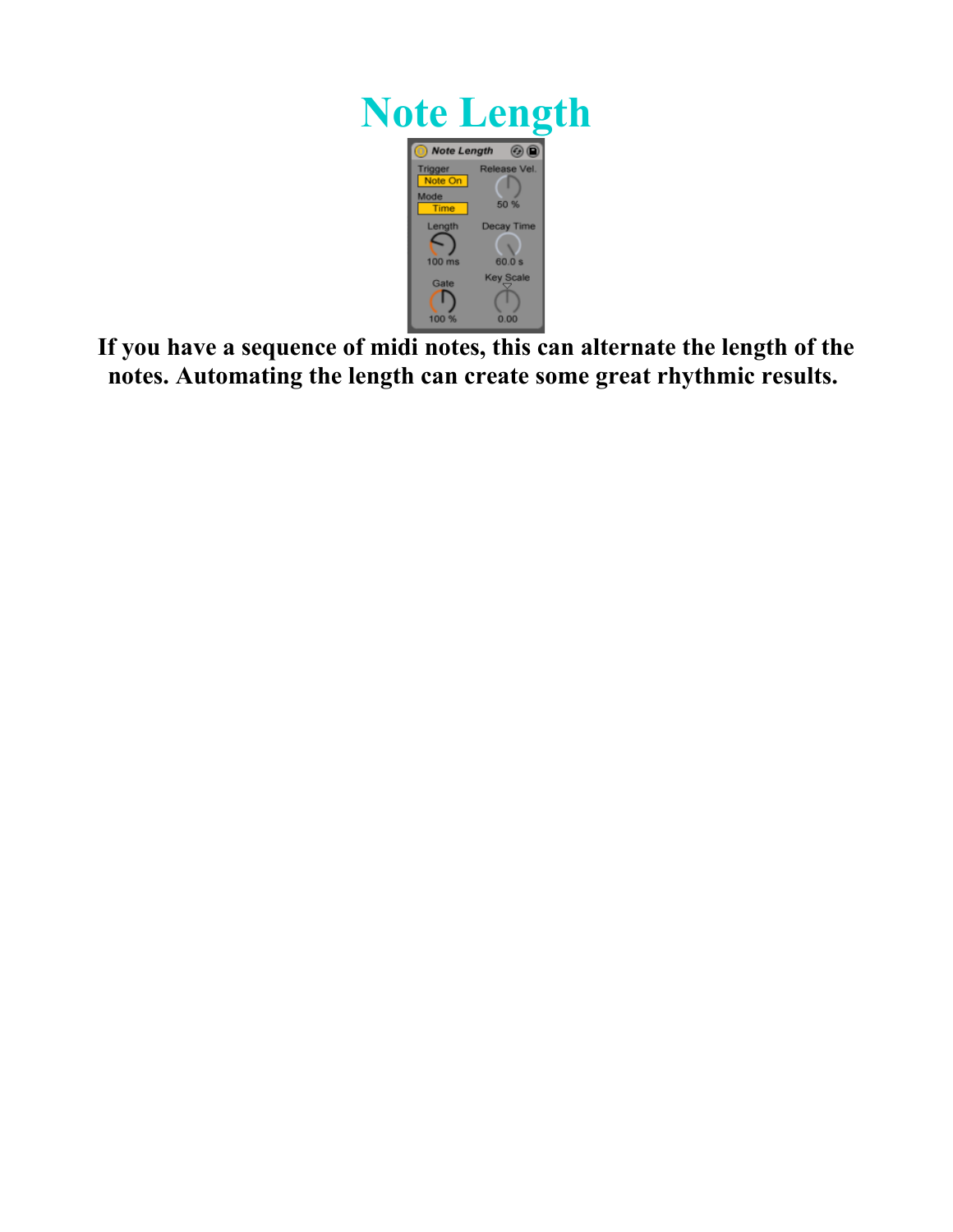

**If you have a sequence of midi notes, this can alternate the length of the notes. Automating the length can create some great rhythmic results.**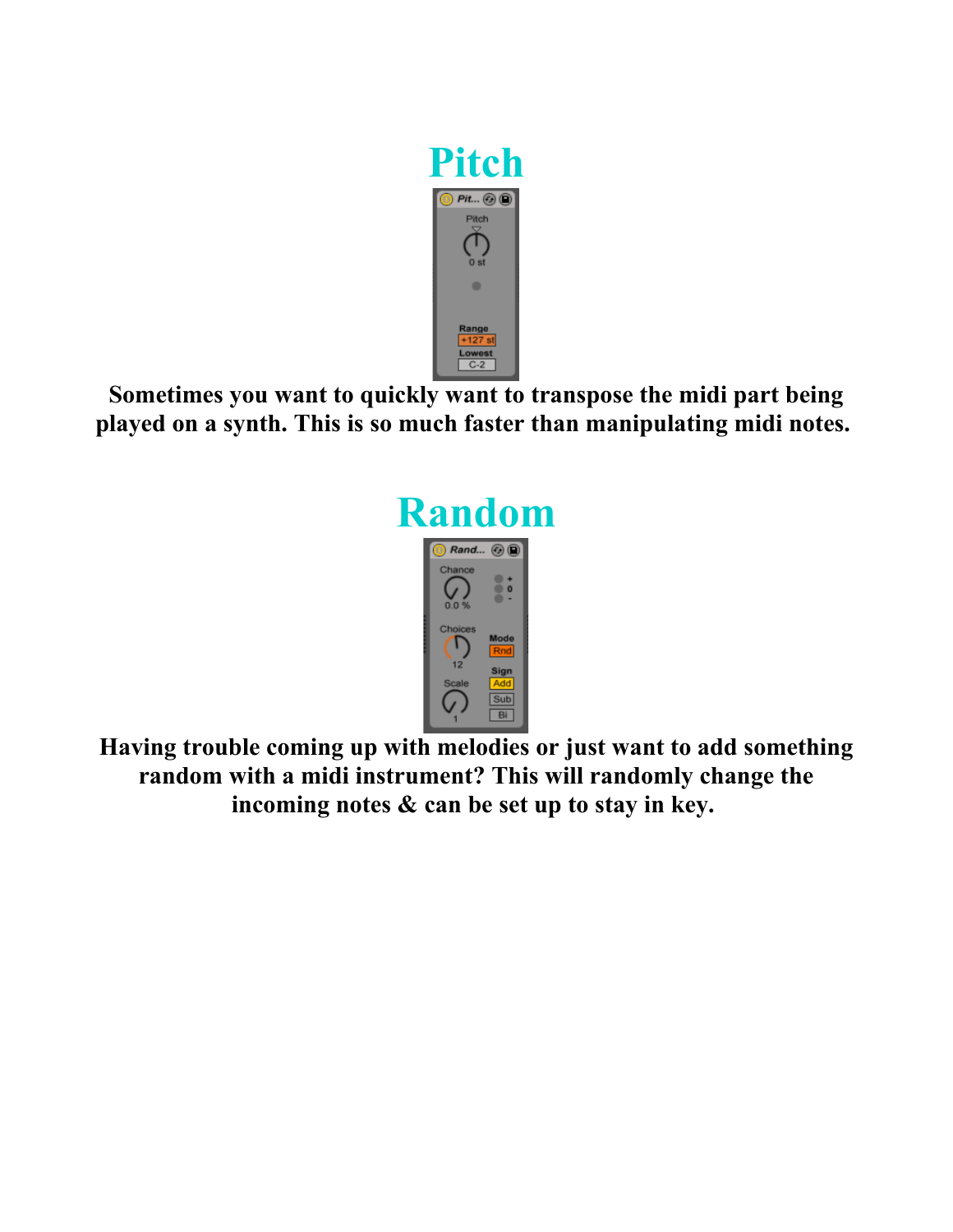

**Sometimes you want to quickly want to transpose the midi part being played on a synth. This is so much faster than manipulating midi notes.** 



**Having trouble coming up with melodies or just want to add something random with a midi instrument? This will randomly change the incoming notes & can be set up to stay in key.**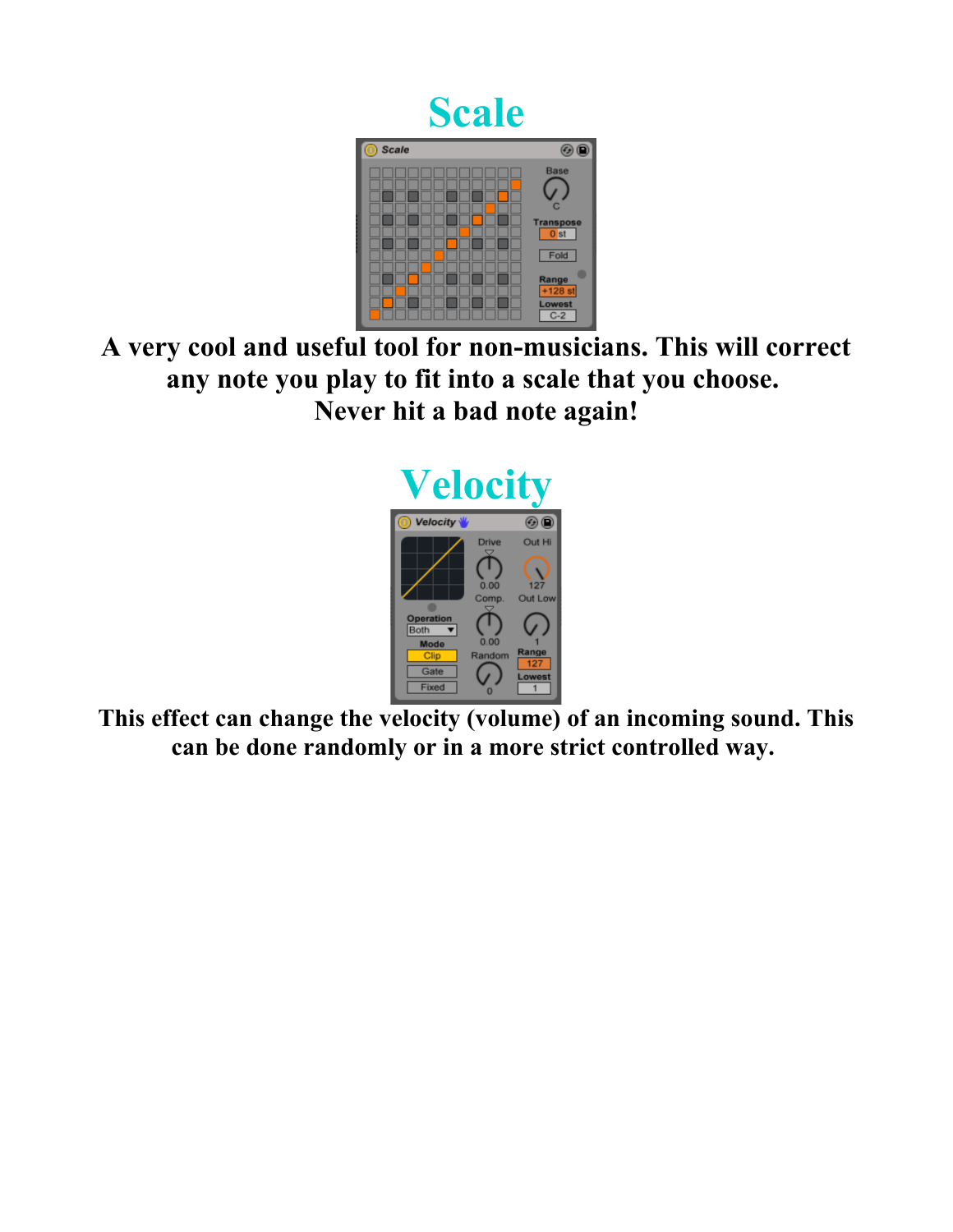



**A very cool and useful tool for non-musicians. This will correct any note you play to fit into a scale that you choose. Never hit a bad note again!**



**This effect can change the velocity (volume) of an incoming sound. This can be done randomly or in a more strict controlled way.**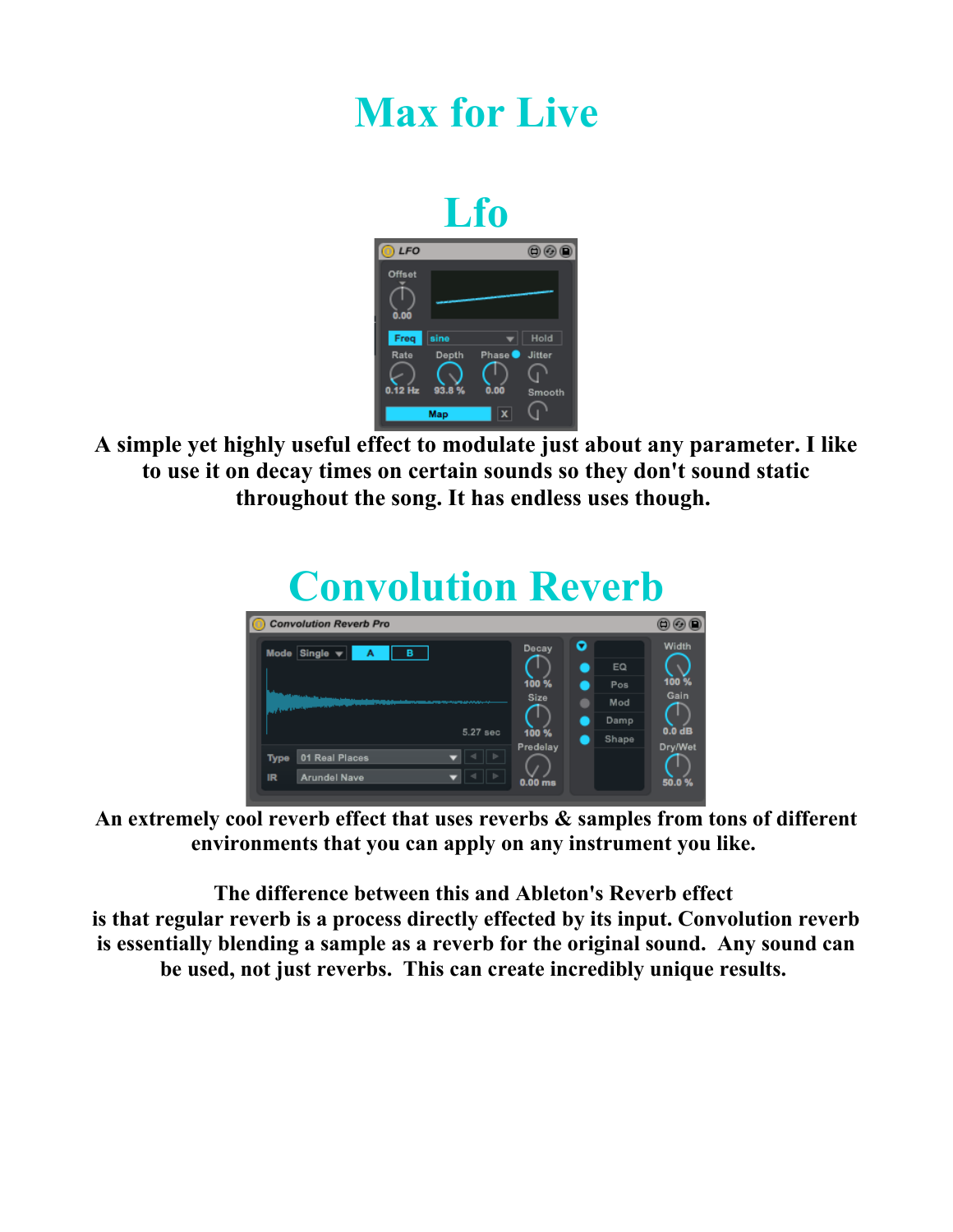#### **Max for Live**



**A simple yet highly useful effect to modulate just about any parameter. I like to use it on decay times on certain sounds so they don't sound static throughout the song. It has endless uses though.** 



**An extremely cool reverb effect that uses reverbs & samples from tons of different environments that you can apply on any instrument you like.** 

**The difference between this and Ableton's Reverb effect is that regular reverb is a process directly effected by its input. Convolution reverb is essentially blending a sample as a reverb for the original sound. Any sound can be used, not just reverbs. This can create incredibly unique results.**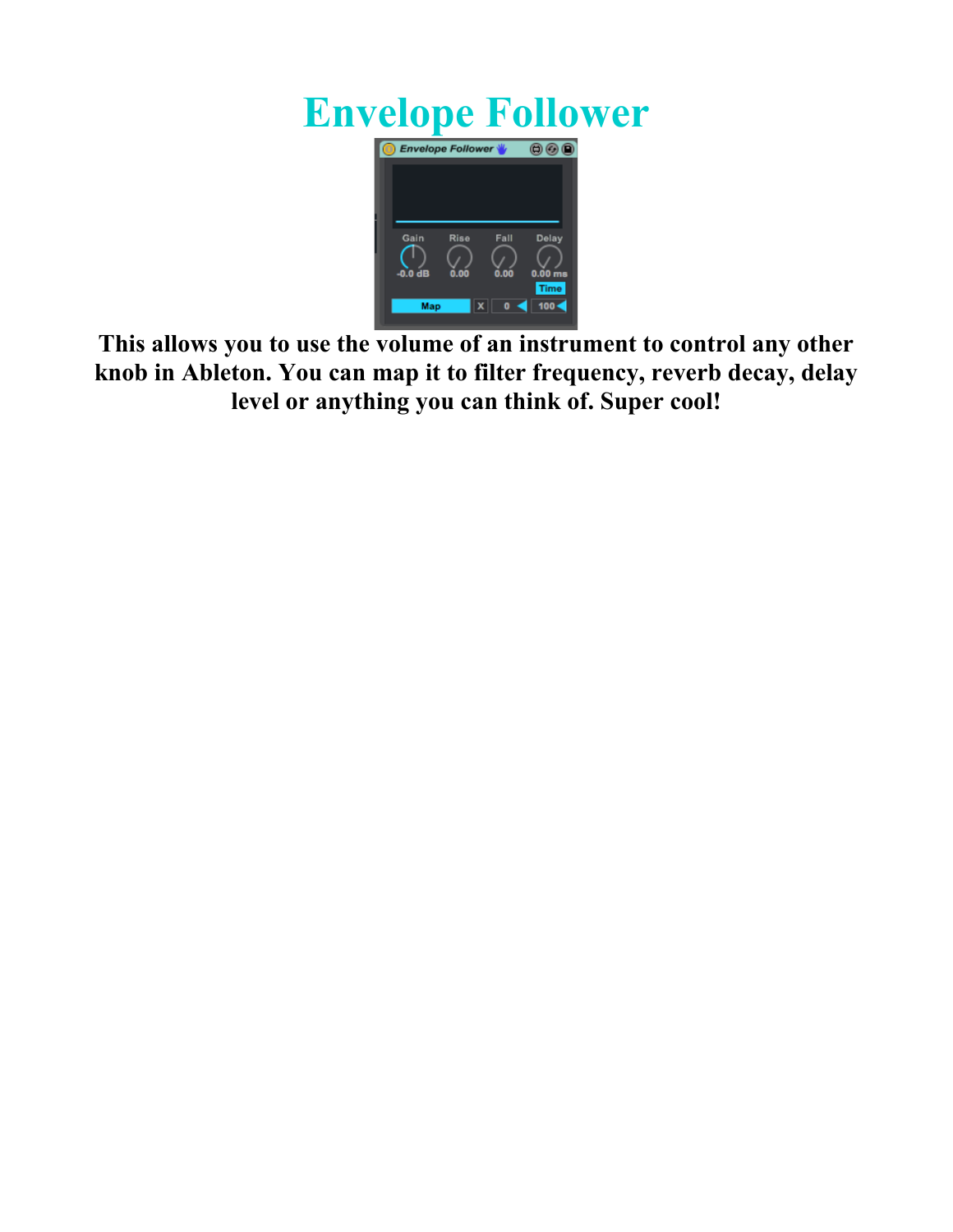#### **Envelope Follower**



**This allows you to use the volume of an instrument to control any other knob in Ableton. You can map it to filter frequency, reverb decay, delay level or anything you can think of. Super cool!**